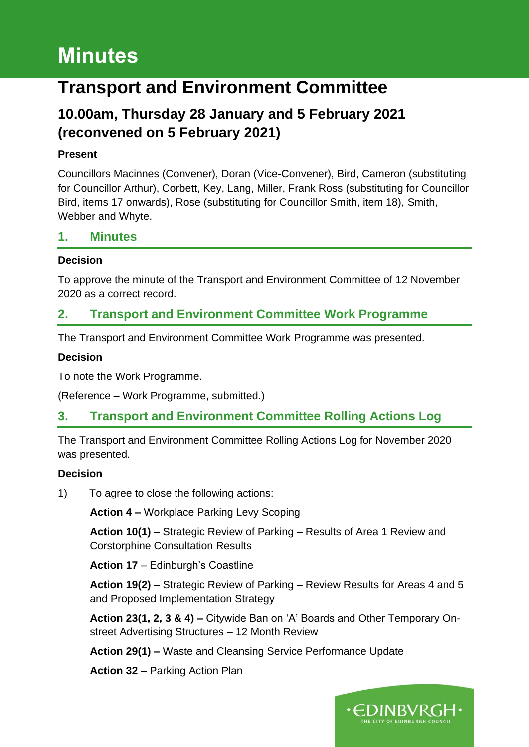# **Minutes**

# **Transport and Environment Committee**

# **10.00am, Thursday 28 January and 5 February 2021 (reconvened on 5 February 2021)**

# **Present**

Councillors Macinnes (Convener), Doran (Vice-Convener), Bird, Cameron (substituting for Councillor Arthur), Corbett, Key, Lang, Miller, Frank Ross (substituting for Councillor Bird, items 17 onwards), Rose (substituting for Councillor Smith, item 18), Smith, Webber and Whyte.

## **1. Minutes**

#### **Decision**

To approve the minute of the Transport and Environment Committee of 12 November 2020 as a correct record.

# **2. Transport and Environment Committee Work Programme**

The Transport and Environment Committee Work Programme was presented.

#### **Decision**

To note the Work Programme.

(Reference – Work Programme, submitted.)

# **3. Transport and Environment Committee Rolling Actions Log**

The Transport and Environment Committee Rolling Actions Log for November 2020 was presented.

## **Decision**

1) To agree to close the following actions:

**Action 4 –** Workplace Parking Levy Scoping

**Action 10(1) –** Strategic Review of Parking – Results of Area 1 Review and Corstorphine Consultation Results

**Action 17** – Edinburgh's Coastline

**Action 19(2) –** Strategic Review of Parking – Review Results for Areas 4 and 5 and Proposed Implementation Strategy

**Action 23(1, 2, 3 & 4) –** Citywide Ban on 'A' Boards and Other Temporary Onstreet Advertising Structures – 12 Month Review

**Action 29(1) –** Waste and Cleansing Service Performance Update

**Action 32 –** Parking Action Plan

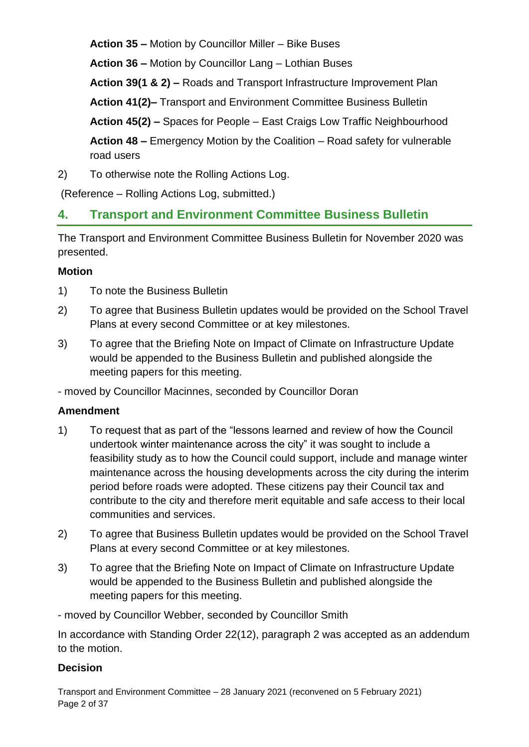**Action 35 –** Motion by Councillor Miller – Bike Buses

**Action 36 –** Motion by Councillor Lang – Lothian Buses

**Action 39(1 & 2) –** Roads and Transport Infrastructure Improvement Plan

**Action 41(2)–** Transport and Environment Committee Business Bulletin

**Action 45(2) –** Spaces for People – East Craigs Low Traffic Neighbourhood

**Action 48 –** Emergency Motion by the Coalition – Road safety for vulnerable road users

2) To otherwise note the Rolling Actions Log.

(Reference – Rolling Actions Log, submitted.)

# **4. Transport and Environment Committee Business Bulletin**

The Transport and Environment Committee Business Bulletin for November 2020 was presented.

# **Motion**

- 1) To note the Business Bulletin
- 2) To agree that Business Bulletin updates would be provided on the School Travel Plans at every second Committee or at key milestones.
- 3) To agree that the Briefing Note on Impact of Climate on Infrastructure Update would be appended to the Business Bulletin and published alongside the meeting papers for this meeting.

- moved by Councillor Macinnes, seconded by Councillor Doran

# **Amendment**

- 1) To request that as part of the "lessons learned and review of how the Council undertook winter maintenance across the city" it was sought to include a feasibility study as to how the Council could support, include and manage winter maintenance across the housing developments across the city during the interim period before roads were adopted. These citizens pay their Council tax and contribute to the city and therefore merit equitable and safe access to their local communities and services.
- 2) To agree that Business Bulletin updates would be provided on the School Travel Plans at every second Committee or at key milestones.
- 3) To agree that the Briefing Note on Impact of Climate on Infrastructure Update would be appended to the Business Bulletin and published alongside the meeting papers for this meeting.

- moved by Councillor Webber, seconded by Councillor Smith

In accordance with Standing Order 22(12), paragraph 2 was accepted as an addendum to the motion.

# **Decision**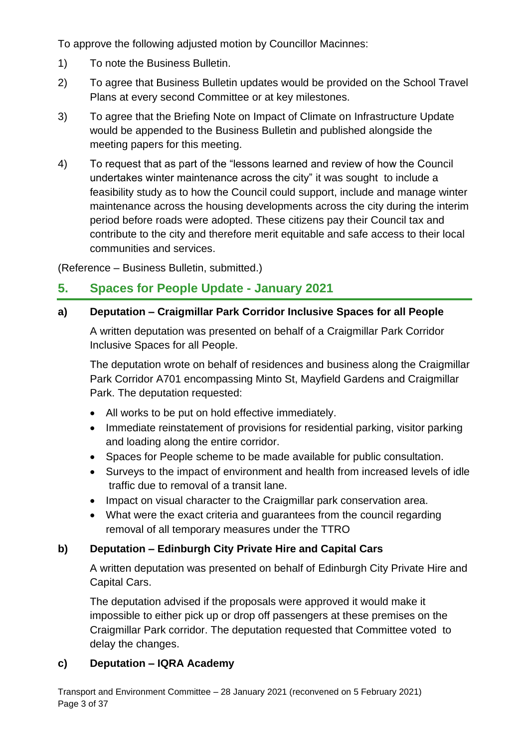To approve the following adjusted motion by Councillor Macinnes:

- 1) To note the Business Bulletin.
- 2) To agree that Business Bulletin updates would be provided on the School Travel Plans at every second Committee or at key milestones.
- 3) To agree that the Briefing Note on Impact of Climate on Infrastructure Update would be appended to the Business Bulletin and published alongside the meeting papers for this meeting.
- 4) To request that as part of the "lessons learned and review of how the Council undertakes winter maintenance across the city" it was sought to include a feasibility study as to how the Council could support, include and manage winter maintenance across the housing developments across the city during the interim period before roads were adopted. These citizens pay their Council tax and contribute to the city and therefore merit equitable and safe access to their local communities and services.

(Reference – Business Bulletin, submitted.)

# **5. Spaces for People Update - January 2021**

#### **a) Deputation – Craigmillar Park Corridor Inclusive Spaces for all People**

A written deputation was presented on behalf of a Craigmillar Park Corridor Inclusive Spaces for all People.

The deputation wrote on behalf of residences and business along the Craigmillar Park Corridor A701 encompassing Minto St, Mayfield Gardens and Craigmillar Park. The deputation requested:

- All works to be put on hold effective immediately.
- Immediate reinstatement of provisions for residential parking, visitor parking and loading along the entire corridor.
- Spaces for People scheme to be made available for public consultation.
- Surveys to the impact of environment and health from increased levels of idle traffic due to removal of a transit lane.
- Impact on visual character to the Craigmillar park conservation area.
- What were the exact criteria and guarantees from the council regarding removal of all temporary measures under the TTRO

## **b) Deputation – Edinburgh City Private Hire and Capital Cars**

A written deputation was presented on behalf of Edinburgh City Private Hire and Capital Cars.

The deputation advised if the proposals were approved it would make it impossible to either pick up or drop off passengers at these premises on the Craigmillar Park corridor. The deputation requested that Committee voted to delay the changes.

## **c) Deputation – IQRA Academy**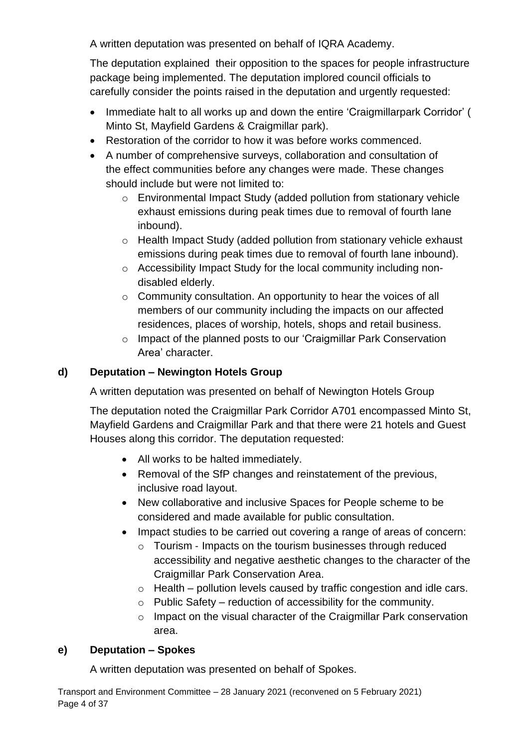A written deputation was presented on behalf of IQRA Academy.

The deputation explained their opposition to the spaces for people infrastructure package being implemented. The deputation implored council officials to carefully consider the points raised in the deputation and urgently requested:

- Immediate halt to all works up and down the entire 'Craigmillarpark Corridor' ( Minto St, Mayfield Gardens & Craigmillar park).
- Restoration of the corridor to how it was before works commenced.
- A number of comprehensive surveys, collaboration and consultation of the effect communities before any changes were made. These changes should include but were not limited to:
	- o Environmental Impact Study (added pollution from stationary vehicle exhaust emissions during peak times due to removal of fourth lane inbound).
	- o Health Impact Study (added pollution from stationary vehicle exhaust emissions during peak times due to removal of fourth lane inbound).
	- o Accessibility Impact Study for the local community including nondisabled elderly.
	- o Community consultation. An opportunity to hear the voices of all members of our community including the impacts on our affected residences, places of worship, hotels, shops and retail business.
	- o Impact of the planned posts to our 'Craigmillar Park Conservation Area' character.

# **d) Deputation – Newington Hotels Group**

A written deputation was presented on behalf of Newington Hotels Group

The deputation noted the Craigmillar Park Corridor A701 encompassed Minto St, Mayfield Gardens and Craigmillar Park and that there were 21 hotels and Guest Houses along this corridor. The deputation requested:

- All works to be halted immediately.
- Removal of the SfP changes and reinstatement of the previous, inclusive road layout.
- New collaborative and inclusive Spaces for People scheme to be considered and made available for public consultation.
- Impact studies to be carried out covering a range of areas of concern:
	- o Tourism ‐ Impacts on the tourism businesses through reduced accessibility and negative aesthetic changes to the character of the Craigmillar Park Conservation Area.
	- $\circ$  Health pollution levels caused by traffic congestion and idle cars.
	- $\circ$  Public Safety reduction of accessibility for the community.
	- o Impact on the visual character of the Craigmillar Park conservation area.

## **e) Deputation – Spokes**

A written deputation was presented on behalf of Spokes.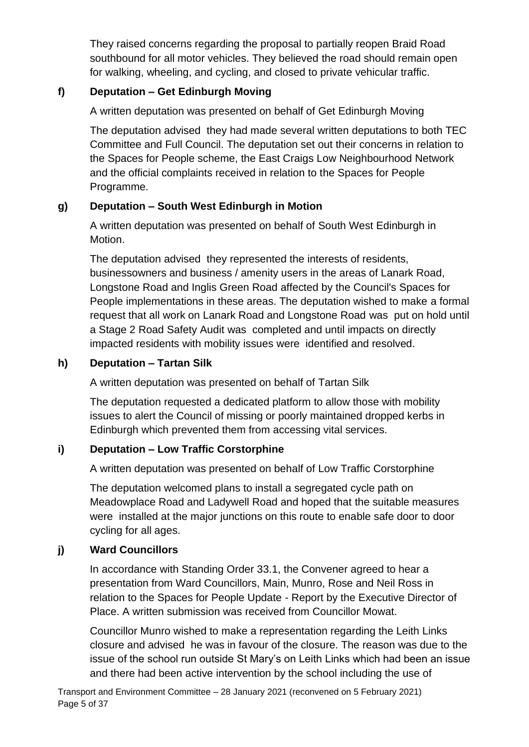They raised concerns regarding the proposal to partially reopen Braid Road southbound for all motor vehicles. They believed the road should remain open for walking, wheeling, and cycling, and closed to private vehicular traffic.

# **f) Deputation – Get Edinburgh Moving**

A written deputation was presented on behalf of Get Edinburgh Moving

The deputation advised they had made several written deputations to both TEC Committee and Full Council. The deputation set out their concerns in relation to the Spaces for People scheme, the East Craigs Low Neighbourhood Network and the official complaints received in relation to the Spaces for People Programme.

# **g) Deputation – South West Edinburgh in Motion**

A written deputation was presented on behalf of South West Edinburgh in Motion.

The deputation advised they represented the interests of residents, businessowners and business / amenity users in the areas of Lanark Road, Longstone Road and Inglis Green Road affected by the Council's Spaces for People implementations in these areas. The deputation wished to make a formal request that all work on Lanark Road and Longstone Road was put on hold until a Stage 2 Road Safety Audit was completed and until impacts on directly impacted residents with mobility issues were identified and resolved.

# **h) Deputation – Tartan Silk**

A written deputation was presented on behalf of Tartan Silk

The deputation requested a dedicated platform to allow those with mobility issues to alert the Council of missing or poorly maintained dropped kerbs in Edinburgh which prevented them from accessing vital services.

# **i) Deputation – Low Traffic Corstorphine**

A written deputation was presented on behalf of Low Traffic Corstorphine

The deputation welcomed plans to install a segregated cycle path on Meadowplace Road and Ladywell Road and hoped that the suitable measures were installed at the major junctions on this route to enable safe door to door cycling for all ages.

## **j) Ward Councillors**

In accordance with Standing Order 33.1, the Convener agreed to hear a presentation from Ward Councillors, Main, Munro, Rose and Neil Ross in relation to the Spaces for People Update - Report by the Executive Director of Place. A written submission was received from Councillor Mowat.

Councillor Munro wished to make a representation regarding the Leith Links closure and advised he was in favour of the closure. The reason was due to the issue of the school run outside St Mary's on Leith Links which had been an issue and there had been active intervention by the school including the use of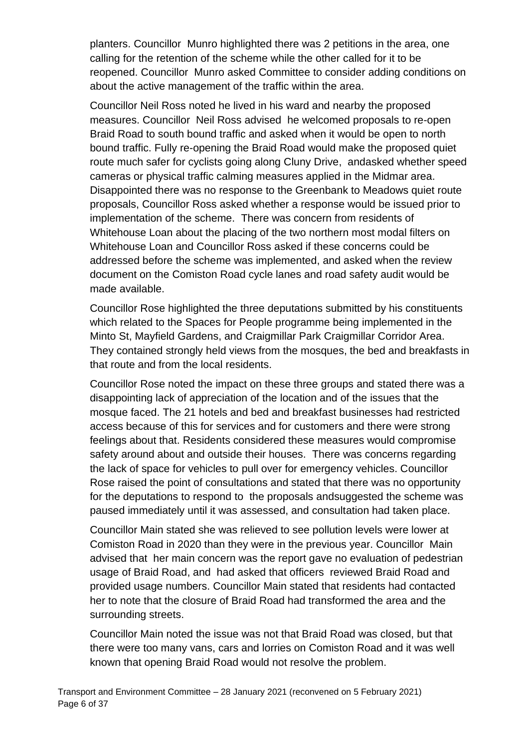planters. Councillor Munro highlighted there was 2 petitions in the area, one calling for the retention of the scheme while the other called for it to be reopened. Councillor Munro asked Committee to consider adding conditions on about the active management of the traffic within the area.

Councillor Neil Ross noted he lived in his ward and nearby the proposed measures. Councillor Neil Ross advised he welcomed proposals to re-open Braid Road to south bound traffic and asked when it would be open to north bound traffic. Fully re-opening the Braid Road would make the proposed quiet route much safer for cyclists going along Cluny Drive, andasked whether speed cameras or physical traffic calming measures applied in the Midmar area. Disappointed there was no response to the Greenbank to Meadows quiet route proposals, Councillor Ross asked whether a response would be issued prior to implementation of the scheme. There was concern from residents of Whitehouse Loan about the placing of the two northern most modal filters on Whitehouse Loan and Councillor Ross asked if these concerns could be addressed before the scheme was implemented, and asked when the review document on the Comiston Road cycle lanes and road safety audit would be made available.

Councillor Rose highlighted the three deputations submitted by his constituents which related to the Spaces for People programme being implemented in the Minto St, Mayfield Gardens, and Craigmillar Park Craigmillar Corridor Area. They contained strongly held views from the mosques, the bed and breakfasts in that route and from the local residents.

Councillor Rose noted the impact on these three groups and stated there was a disappointing lack of appreciation of the location and of the issues that the mosque faced. The 21 hotels and bed and breakfast businesses had restricted access because of this for services and for customers and there were strong feelings about that. Residents considered these measures would compromise safety around about and outside their houses. There was concerns regarding the lack of space for vehicles to pull over for emergency vehicles. Councillor Rose raised the point of consultations and stated that there was no opportunity for the deputations to respond to the proposals andsuggested the scheme was paused immediately until it was assessed, and consultation had taken place.

Councillor Main stated she was relieved to see pollution levels were lower at Comiston Road in 2020 than they were in the previous year. Councillor Main advised that her main concern was the report gave no evaluation of pedestrian usage of Braid Road, and had asked that officers reviewed Braid Road and provided usage numbers. Councillor Main stated that residents had contacted her to note that the closure of Braid Road had transformed the area and the surrounding streets.

Councillor Main noted the issue was not that Braid Road was closed, but that there were too many vans, cars and lorries on Comiston Road and it was well known that opening Braid Road would not resolve the problem.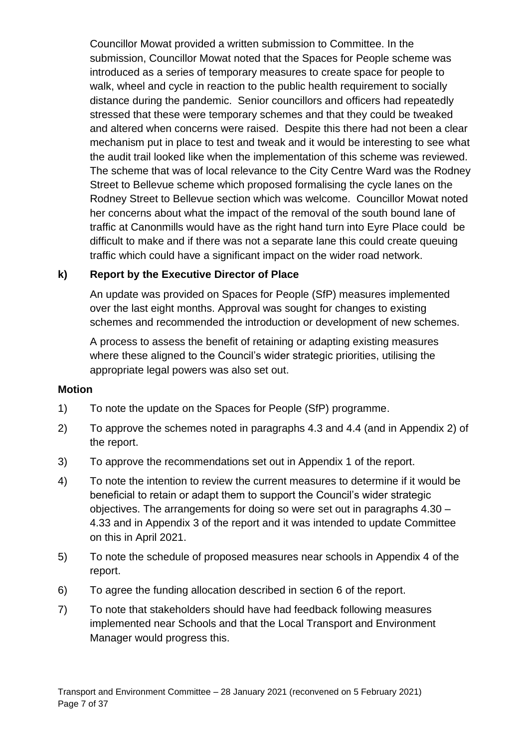Councillor Mowat provided a written submission to Committee. In the submission, Councillor Mowat noted that the Spaces for People scheme was introduced as a series of temporary measures to create space for people to walk, wheel and cycle in reaction to the public health requirement to socially distance during the pandemic. Senior councillors and officers had repeatedly stressed that these were temporary schemes and that they could be tweaked and altered when concerns were raised. Despite this there had not been a clear mechanism put in place to test and tweak and it would be interesting to see what the audit trail looked like when the implementation of this scheme was reviewed. The scheme that was of local relevance to the City Centre Ward was the Rodney Street to Bellevue scheme which proposed formalising the cycle lanes on the Rodney Street to Bellevue section which was welcome. Councillor Mowat noted her concerns about what the impact of the removal of the south bound lane of traffic at Canonmills would have as the right hand turn into Eyre Place could be difficult to make and if there was not a separate lane this could create queuing traffic which could have a significant impact on the wider road network.

#### **k) Report by the Executive Director of Place**

An update was provided on Spaces for People (SfP) measures implemented over the last eight months. Approval was sought for changes to existing schemes and recommended the introduction or development of new schemes.

A process to assess the benefit of retaining or adapting existing measures where these aligned to the Council's wider strategic priorities, utilising the appropriate legal powers was also set out.

#### **Motion**

- 1) To note the update on the Spaces for People (SfP) programme.
- 2) To approve the schemes noted in paragraphs 4.3 and 4.4 (and in Appendix 2) of the report.
- 3) To approve the recommendations set out in Appendix 1 of the report.
- 4) To note the intention to review the current measures to determine if it would be beneficial to retain or adapt them to support the Council's wider strategic objectives. The arrangements for doing so were set out in paragraphs 4.30 – 4.33 and in Appendix 3 of the report and it was intended to update Committee on this in April 2021.
- 5) To note the schedule of proposed measures near schools in Appendix 4 of the report.
- 6) To agree the funding allocation described in section 6 of the report.
- 7) To note that stakeholders should have had feedback following measures implemented near Schools and that the Local Transport and Environment Manager would progress this.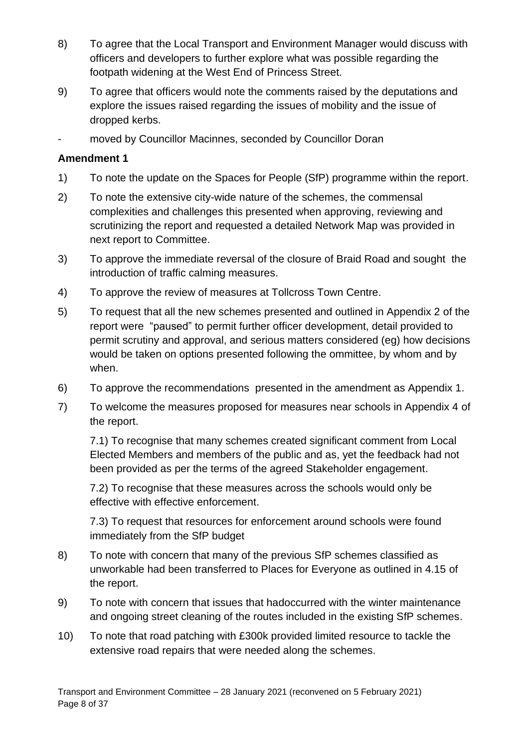- 8) To agree that the Local Transport and Environment Manager would discuss with officers and developers to further explore what was possible regarding the footpath widening at the West End of Princess Street.
- 9) To agree that officers would note the comments raised by the deputations and explore the issues raised regarding the issues of mobility and the issue of dropped kerbs.
- moved by Councillor Macinnes, seconded by Councillor Doran

#### **Amendment 1**

- 1) To note the update on the Spaces for People (SfP) programme within the report.
- 2) To note the extensive city-wide nature of the schemes, the commensal complexities and challenges this presented when approving, reviewing and scrutinizing the report and requested a detailed Network Map was provided in next report to Committee.
- 3) To approve the immediate reversal of the closure of Braid Road and sought the introduction of traffic calming measures.
- 4) To approve the review of measures at Tollcross Town Centre.
- 5) To request that all the new schemes presented and outlined in Appendix 2 of the report were "paused" to permit further officer development, detail provided to permit scrutiny and approval, and serious matters considered (eg) how decisions would be taken on options presented following the ommittee, by whom and by when.
- 6) To approve the recommendations presented in the amendment as Appendix 1.
- 7) To welcome the measures proposed for measures near schools in Appendix 4 of the report.

7.1) To recognise that many schemes created significant comment from Local Elected Members and members of the public and as, yet the feedback had not been provided as per the terms of the agreed Stakeholder engagement.

7.2) To recognise that these measures across the schools would only be effective with effective enforcement.

7.3) To request that resources for enforcement around schools were found immediately from the SfP budget

- 8) To note with concern that many of the previous SfP schemes classified as unworkable had been transferred to Places for Everyone as outlined in 4.15 of the report.
- 9) To note with concern that issues that hadoccurred with the winter maintenance and ongoing street cleaning of the routes included in the existing SfP schemes.
- 10) To note that road patching with £300k provided limited resource to tackle the extensive road repairs that were needed along the schemes.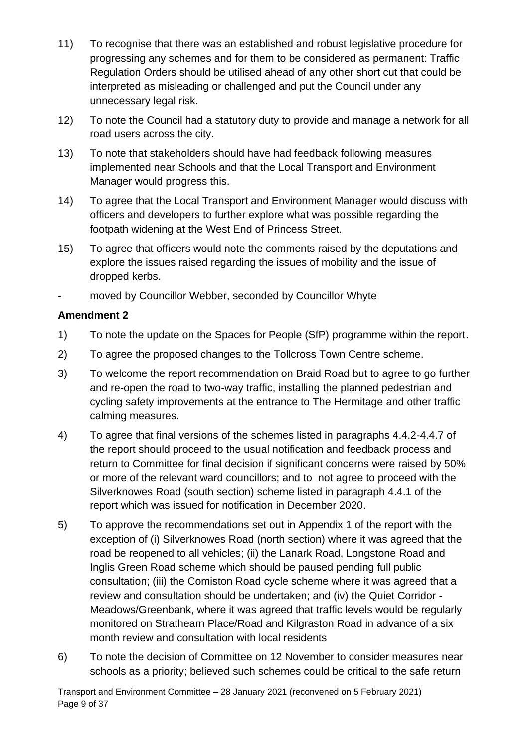- 11) To recognise that there was an established and robust legislative procedure for progressing any schemes and for them to be considered as permanent: Traffic Regulation Orders should be utilised ahead of any other short cut that could be interpreted as misleading or challenged and put the Council under any unnecessary legal risk.
- 12) To note the Council had a statutory duty to provide and manage a network for all road users across the city.
- 13) To note that stakeholders should have had feedback following measures implemented near Schools and that the Local Transport and Environment Manager would progress this.
- 14) To agree that the Local Transport and Environment Manager would discuss with officers and developers to further explore what was possible regarding the footpath widening at the West End of Princess Street.
- 15) To agree that officers would note the comments raised by the deputations and explore the issues raised regarding the issues of mobility and the issue of dropped kerbs.
- moved by Councillor Webber, seconded by Councillor Whyte

- 1) To note the update on the Spaces for People (SfP) programme within the report.
- 2) To agree the proposed changes to the Tollcross Town Centre scheme.
- 3) To welcome the report recommendation on Braid Road but to agree to go further and re-open the road to two-way traffic, installing the planned pedestrian and cycling safety improvements at the entrance to The Hermitage and other traffic calming measures.
- 4) To agree that final versions of the schemes listed in paragraphs 4.4.2-4.4.7 of the report should proceed to the usual notification and feedback process and return to Committee for final decision if significant concerns were raised by 50% or more of the relevant ward councillors; and to not agree to proceed with the Silverknowes Road (south section) scheme listed in paragraph 4.4.1 of the report which was issued for notification in December 2020.
- 5) To approve the recommendations set out in Appendix 1 of the report with the exception of (i) Silverknowes Road (north section) where it was agreed that the road be reopened to all vehicles; (ii) the Lanark Road, Longstone Road and Inglis Green Road scheme which should be paused pending full public consultation; (iii) the Comiston Road cycle scheme where it was agreed that a review and consultation should be undertaken; and (iv) the Quiet Corridor - Meadows/Greenbank, where it was agreed that traffic levels would be regularly monitored on Strathearn Place/Road and Kilgraston Road in advance of a six month review and consultation with local residents
- 6) To note the decision of Committee on 12 November to consider measures near schools as a priority; believed such schemes could be critical to the safe return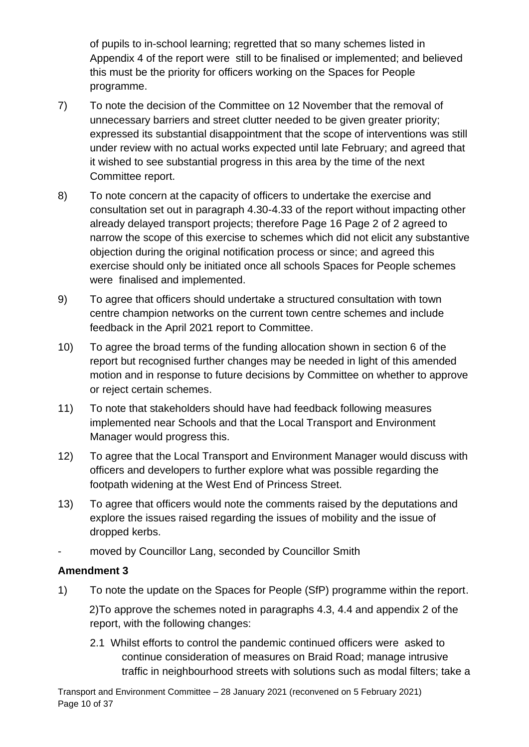of pupils to in-school learning; regretted that so many schemes listed in Appendix 4 of the report were still to be finalised or implemented; and believed this must be the priority for officers working on the Spaces for People programme.

- 7) To note the decision of the Committee on 12 November that the removal of unnecessary barriers and street clutter needed to be given greater priority; expressed its substantial disappointment that the scope of interventions was still under review with no actual works expected until late February; and agreed that it wished to see substantial progress in this area by the time of the next Committee report.
- 8) To note concern at the capacity of officers to undertake the exercise and consultation set out in paragraph 4.30-4.33 of the report without impacting other already delayed transport projects; therefore Page 16 Page 2 of 2 agreed to narrow the scope of this exercise to schemes which did not elicit any substantive objection during the original notification process or since; and agreed this exercise should only be initiated once all schools Spaces for People schemes were finalised and implemented.
- 9) To agree that officers should undertake a structured consultation with town centre champion networks on the current town centre schemes and include feedback in the April 2021 report to Committee.
- 10) To agree the broad terms of the funding allocation shown in section 6 of the report but recognised further changes may be needed in light of this amended motion and in response to future decisions by Committee on whether to approve or reject certain schemes.
- 11) To note that stakeholders should have had feedback following measures implemented near Schools and that the Local Transport and Environment Manager would progress this.
- 12) To agree that the Local Transport and Environment Manager would discuss with officers and developers to further explore what was possible regarding the footpath widening at the West End of Princess Street.
- 13) To agree that officers would note the comments raised by the deputations and explore the issues raised regarding the issues of mobility and the issue of dropped kerbs.
- moved by Councillor Lang, seconded by Councillor Smith

## **Amendment 3**

1) To note the update on the Spaces for People (SfP) programme within the report.

2)To approve the schemes noted in paragraphs 4.3, 4.4 and appendix 2 of the report, with the following changes:

2.1 Whilst efforts to control the pandemic continued officers were asked to continue consideration of measures on Braid Road; manage intrusive traffic in neighbourhood streets with solutions such as modal filters; take a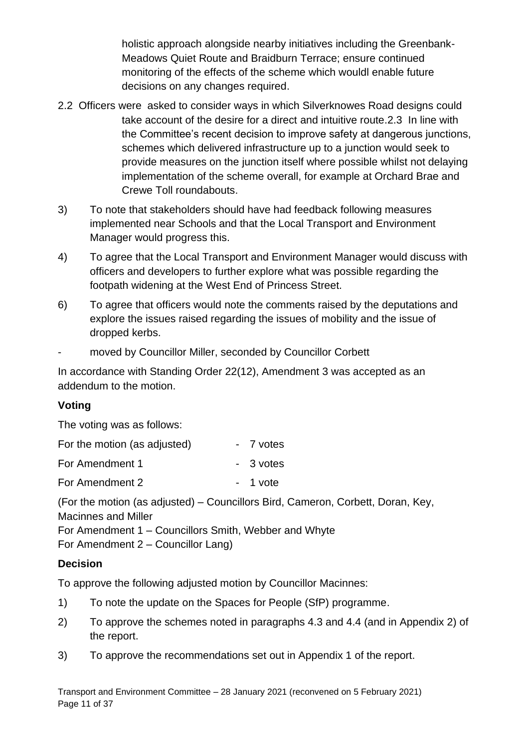holistic approach alongside nearby initiatives including the Greenbank-Meadows Quiet Route and Braidburn Terrace; ensure continued monitoring of the effects of the scheme which wouldl enable future decisions on any changes required.

- 2.2 Officers were asked to consider ways in which Silverknowes Road designs could take account of the desire for a direct and intuitive route.2.3 In line with the Committee's recent decision to improve safety at dangerous junctions, schemes which delivered infrastructure up to a junction would seek to provide measures on the junction itself where possible whilst not delaying implementation of the scheme overall, for example at Orchard Brae and Crewe Toll roundabouts.
- 3) To note that stakeholders should have had feedback following measures implemented near Schools and that the Local Transport and Environment Manager would progress this.
- 4) To agree that the Local Transport and Environment Manager would discuss with officers and developers to further explore what was possible regarding the footpath widening at the West End of Princess Street.
- 6) To agree that officers would note the comments raised by the deputations and explore the issues raised regarding the issues of mobility and the issue of dropped kerbs.
- moved by Councillor Miller, seconded by Councillor Corbett

In accordance with Standing Order 22(12), Amendment 3 was accepted as an addendum to the motion.

## **Voting**

The voting was as follows:

| For the motion (as adjusted) | - 7 votes |
|------------------------------|-----------|
| For Amendment 1              | - 3 votes |
| For Amendment 2              | - 1 vote  |

(For the motion (as adjusted) – Councillors Bird, Cameron, Corbett, Doran, Key, Macinnes and Miller For Amendment 1 – Councillors Smith, Webber and Whyte

For Amendment 2 – Councillor Lang)

## **Decision**

To approve the following adjusted motion by Councillor Macinnes:

- 1) To note the update on the Spaces for People (SfP) programme.
- 2) To approve the schemes noted in paragraphs 4.3 and 4.4 (and in Appendix 2) of the report.
- 3) To approve the recommendations set out in Appendix 1 of the report.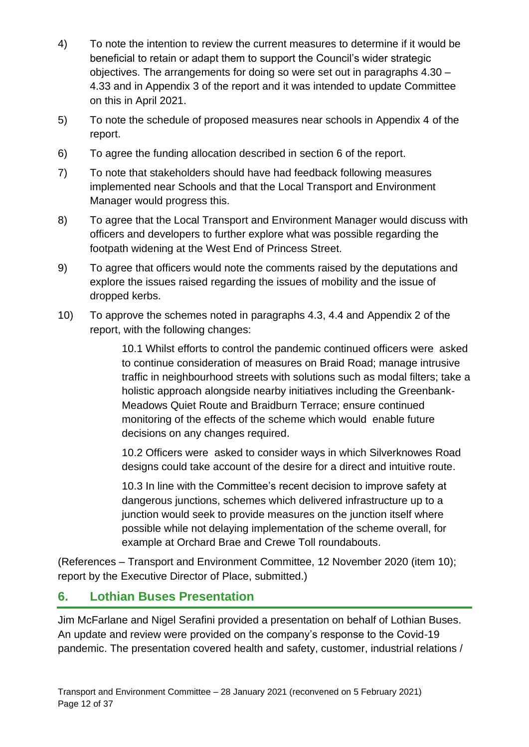- 4) To note the intention to review the current measures to determine if it would be beneficial to retain or adapt them to support the Council's wider strategic objectives. The arrangements for doing so were set out in paragraphs 4.30 – 4.33 and in Appendix 3 of the report and it was intended to update Committee on this in April 2021.
- 5) To note the schedule of proposed measures near schools in Appendix 4 of the report.
- 6) To agree the funding allocation described in section 6 of the report.
- 7) To note that stakeholders should have had feedback following measures implemented near Schools and that the Local Transport and Environment Manager would progress this.
- 8) To agree that the Local Transport and Environment Manager would discuss with officers and developers to further explore what was possible regarding the footpath widening at the West End of Princess Street.
- 9) To agree that officers would note the comments raised by the deputations and explore the issues raised regarding the issues of mobility and the issue of dropped kerbs.
- 10) To approve the schemes noted in paragraphs 4.3, 4.4 and Appendix 2 of the report, with the following changes:

10.1 Whilst efforts to control the pandemic continued officers were asked to continue consideration of measures on Braid Road; manage intrusive traffic in neighbourhood streets with solutions such as modal filters; take a holistic approach alongside nearby initiatives including the Greenbank-Meadows Quiet Route and Braidburn Terrace; ensure continued monitoring of the effects of the scheme which would enable future decisions on any changes required.

10.2 Officers were asked to consider ways in which Silverknowes Road designs could take account of the desire for a direct and intuitive route.

10.3 In line with the Committee's recent decision to improve safety at dangerous junctions, schemes which delivered infrastructure up to a junction would seek to provide measures on the junction itself where possible while not delaying implementation of the scheme overall, for example at Orchard Brae and Crewe Toll roundabouts.

(References – Transport and Environment Committee, 12 November 2020 (item 10); report by the Executive Director of Place, submitted.)

# **6. Lothian Buses Presentation**

Jim McFarlane and Nigel Serafini provided a presentation on behalf of Lothian Buses. An update and review were provided on the company's response to the Covid-19 pandemic. The presentation covered health and safety, customer, industrial relations /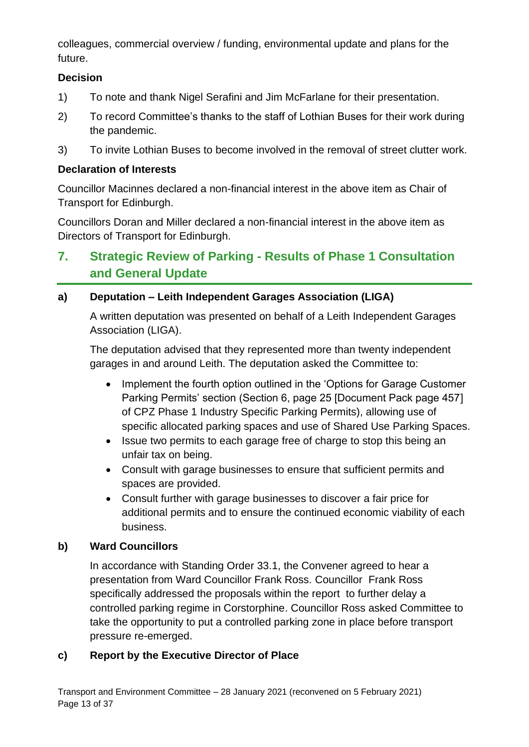colleagues, commercial overview / funding, environmental update and plans for the future.

#### **Decision**

- 1) To note and thank Nigel Serafini and Jim McFarlane for their presentation.
- 2) To record Committee's thanks to the staff of Lothian Buses for their work during the pandemic.
- 3) To invite Lothian Buses to become involved in the removal of street clutter work.

#### **Declaration of Interests**

Councillor Macinnes declared a non-financial interest in the above item as Chair of Transport for Edinburgh.

Councillors Doran and Miller declared a non-financial interest in the above item as Directors of Transport for Edinburgh.

# **7. Strategic Review of Parking - Results of Phase 1 Consultation and General Update**

## **a) Deputation – Leith Independent Garages Association (LIGA)**

A written deputation was presented on behalf of a Leith Independent Garages Association (LIGA).

The deputation advised that they represented more than twenty independent garages in and around Leith. The deputation asked the Committee to:

- Implement the fourth option outlined in the 'Options for Garage Customer Parking Permits' section (Section 6, page 25 [Document Pack page 457] of CPZ Phase 1 Industry Specific Parking Permits), allowing use of specific allocated parking spaces and use of Shared Use Parking Spaces.
- Issue two permits to each garage free of charge to stop this being an unfair tax on being.
- Consult with garage businesses to ensure that sufficient permits and spaces are provided.
- Consult further with garage businesses to discover a fair price for additional permits and to ensure the continued economic viability of each business.

## **b) Ward Councillors**

In accordance with Standing Order 33.1, the Convener agreed to hear a presentation from Ward Councillor Frank Ross. Councillor Frank Ross specifically addressed the proposals within the report to further delay a controlled parking regime in Corstorphine. Councillor Ross asked Committee to take the opportunity to put a controlled parking zone in place before transport pressure re-emerged.

#### **c) Report by the Executive Director of Place**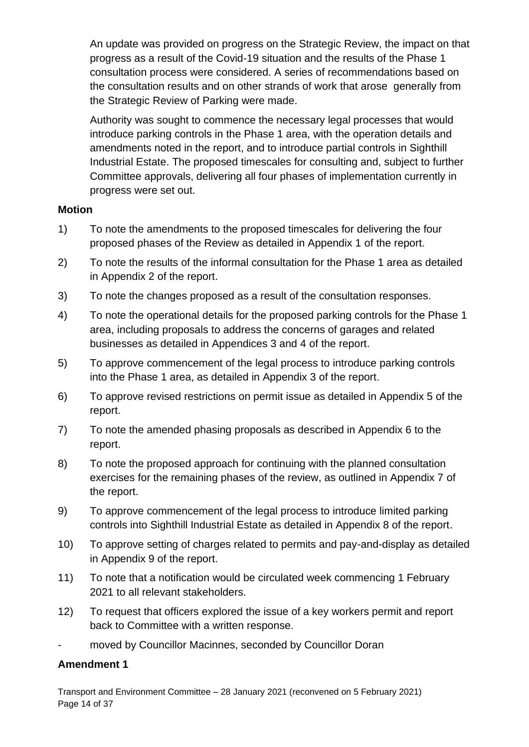An update was provided on progress on the Strategic Review, the impact on that progress as a result of the Covid-19 situation and the results of the Phase 1 consultation process were considered. A series of recommendations based on the consultation results and on other strands of work that arose generally from the Strategic Review of Parking were made.

Authority was sought to commence the necessary legal processes that would introduce parking controls in the Phase 1 area, with the operation details and amendments noted in the report, and to introduce partial controls in Sighthill Industrial Estate. The proposed timescales for consulting and, subject to further Committee approvals, delivering all four phases of implementation currently in progress were set out.

#### **Motion**

- 1) To note the amendments to the proposed timescales for delivering the four proposed phases of the Review as detailed in Appendix 1 of the report.
- 2) To note the results of the informal consultation for the Phase 1 area as detailed in Appendix 2 of the report.
- 3) To note the changes proposed as a result of the consultation responses.
- 4) To note the operational details for the proposed parking controls for the Phase 1 area, including proposals to address the concerns of garages and related businesses as detailed in Appendices 3 and 4 of the report.
- 5) To approve commencement of the legal process to introduce parking controls into the Phase 1 area, as detailed in Appendix 3 of the report.
- 6) To approve revised restrictions on permit issue as detailed in Appendix 5 of the report.
- 7) To note the amended phasing proposals as described in Appendix 6 to the report.
- 8) To note the proposed approach for continuing with the planned consultation exercises for the remaining phases of the review, as outlined in Appendix 7 of the report.
- 9) To approve commencement of the legal process to introduce limited parking controls into Sighthill Industrial Estate as detailed in Appendix 8 of the report.
- 10) To approve setting of charges related to permits and pay-and-display as detailed in Appendix 9 of the report.
- 11) To note that a notification would be circulated week commencing 1 February 2021 to all relevant stakeholders.
- 12) To request that officers explored the issue of a key workers permit and report back to Committee with a written response.
- moved by Councillor Macinnes, seconded by Councillor Doran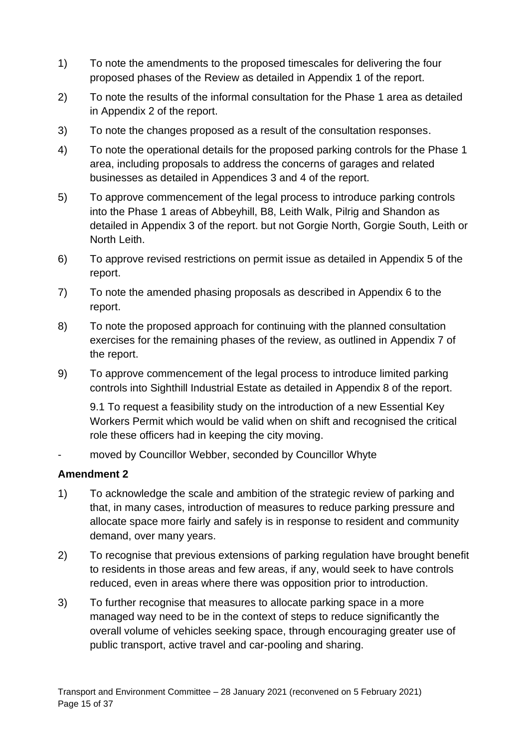- 1) To note the amendments to the proposed timescales for delivering the four proposed phases of the Review as detailed in Appendix 1 of the report.
- 2) To note the results of the informal consultation for the Phase 1 area as detailed in Appendix 2 of the report.
- 3) To note the changes proposed as a result of the consultation responses.
- 4) To note the operational details for the proposed parking controls for the Phase 1 area, including proposals to address the concerns of garages and related businesses as detailed in Appendices 3 and 4 of the report.
- 5) To approve commencement of the legal process to introduce parking controls into the Phase 1 areas of Abbeyhill, B8, Leith Walk, Pilrig and Shandon as detailed in Appendix 3 of the report. but not Gorgie North, Gorgie South, Leith or North Leith.
- 6) To approve revised restrictions on permit issue as detailed in Appendix 5 of the report.
- 7) To note the amended phasing proposals as described in Appendix 6 to the report.
- 8) To note the proposed approach for continuing with the planned consultation exercises for the remaining phases of the review, as outlined in Appendix 7 of the report.
- 9) To approve commencement of the legal process to introduce limited parking controls into Sighthill Industrial Estate as detailed in Appendix 8 of the report.

9.1 To request a feasibility study on the introduction of a new Essential Key Workers Permit which would be valid when on shift and recognised the critical role these officers had in keeping the city moving.

moved by Councillor Webber, seconded by Councillor Whyte

- 1) To acknowledge the scale and ambition of the strategic review of parking and that, in many cases, introduction of measures to reduce parking pressure and allocate space more fairly and safely is in response to resident and community demand, over many years.
- 2) To recognise that previous extensions of parking regulation have brought benefit to residents in those areas and few areas, if any, would seek to have controls reduced, even in areas where there was opposition prior to introduction.
- 3) To further recognise that measures to allocate parking space in a more managed way need to be in the context of steps to reduce significantly the overall volume of vehicles seeking space, through encouraging greater use of public transport, active travel and car-pooling and sharing.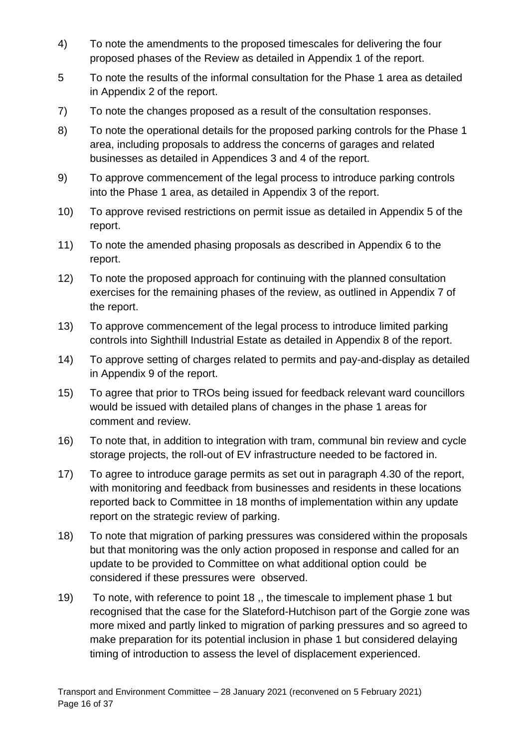- 4) To note the amendments to the proposed timescales for delivering the four proposed phases of the Review as detailed in Appendix 1 of the report.
- 5 To note the results of the informal consultation for the Phase 1 area as detailed in Appendix 2 of the report.
- 7) To note the changes proposed as a result of the consultation responses.
- 8) To note the operational details for the proposed parking controls for the Phase 1 area, including proposals to address the concerns of garages and related businesses as detailed in Appendices 3 and 4 of the report.
- 9) To approve commencement of the legal process to introduce parking controls into the Phase 1 area, as detailed in Appendix 3 of the report.
- 10) To approve revised restrictions on permit issue as detailed in Appendix 5 of the report.
- 11) To note the amended phasing proposals as described in Appendix 6 to the report.
- 12) To note the proposed approach for continuing with the planned consultation exercises for the remaining phases of the review, as outlined in Appendix 7 of the report.
- 13) To approve commencement of the legal process to introduce limited parking controls into Sighthill Industrial Estate as detailed in Appendix 8 of the report.
- 14) To approve setting of charges related to permits and pay-and-display as detailed in Appendix 9 of the report.
- 15) To agree that prior to TROs being issued for feedback relevant ward councillors would be issued with detailed plans of changes in the phase 1 areas for comment and review.
- 16) To note that, in addition to integration with tram, communal bin review and cycle storage projects, the roll-out of EV infrastructure needed to be factored in.
- 17) To agree to introduce garage permits as set out in paragraph 4.30 of the report, with monitoring and feedback from businesses and residents in these locations reported back to Committee in 18 months of implementation within any update report on the strategic review of parking.
- 18) To note that migration of parking pressures was considered within the proposals but that monitoring was the only action proposed in response and called for an update to be provided to Committee on what additional option could be considered if these pressures were observed.
- 19) To note, with reference to point 18 ,, the timescale to implement phase 1 but recognised that the case for the Slateford-Hutchison part of the Gorgie zone was more mixed and partly linked to migration of parking pressures and so agreed to make preparation for its potential inclusion in phase 1 but considered delaying timing of introduction to assess the level of displacement experienced.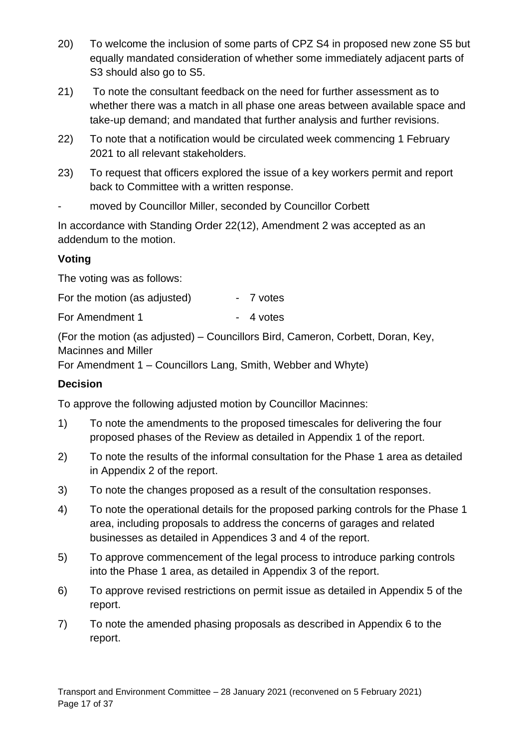- 20) To welcome the inclusion of some parts of CPZ S4 in proposed new zone S5 but equally mandated consideration of whether some immediately adjacent parts of S3 should also go to S5.
- 21) To note the consultant feedback on the need for further assessment as to whether there was a match in all phase one areas between available space and take-up demand; and mandated that further analysis and further revisions.
- 22) To note that a notification would be circulated week commencing 1 February 2021 to all relevant stakeholders.
- 23) To request that officers explored the issue of a key workers permit and report back to Committee with a written response.
- moved by Councillor Miller, seconded by Councillor Corbett

In accordance with Standing Order 22(12), Amendment 2 was accepted as an addendum to the motion.

# **Voting**

The voting was as follows:

| For the motion (as adjusted) |  | 7 votes |
|------------------------------|--|---------|
|------------------------------|--|---------|

For Amendment 1 - 4 votes

(For the motion (as adjusted) – Councillors Bird, Cameron, Corbett, Doran, Key, Macinnes and Miller

For Amendment 1 – Councillors Lang, Smith, Webber and Whyte)

# **Decision**

To approve the following adjusted motion by Councillor Macinnes:

- 1) To note the amendments to the proposed timescales for delivering the four proposed phases of the Review as detailed in Appendix 1 of the report.
- 2) To note the results of the informal consultation for the Phase 1 area as detailed in Appendix 2 of the report.
- 3) To note the changes proposed as a result of the consultation responses.
- 4) To note the operational details for the proposed parking controls for the Phase 1 area, including proposals to address the concerns of garages and related businesses as detailed in Appendices 3 and 4 of the report.
- 5) To approve commencement of the legal process to introduce parking controls into the Phase 1 area, as detailed in Appendix 3 of the report.
- 6) To approve revised restrictions on permit issue as detailed in Appendix 5 of the report.
- 7) To note the amended phasing proposals as described in Appendix 6 to the report.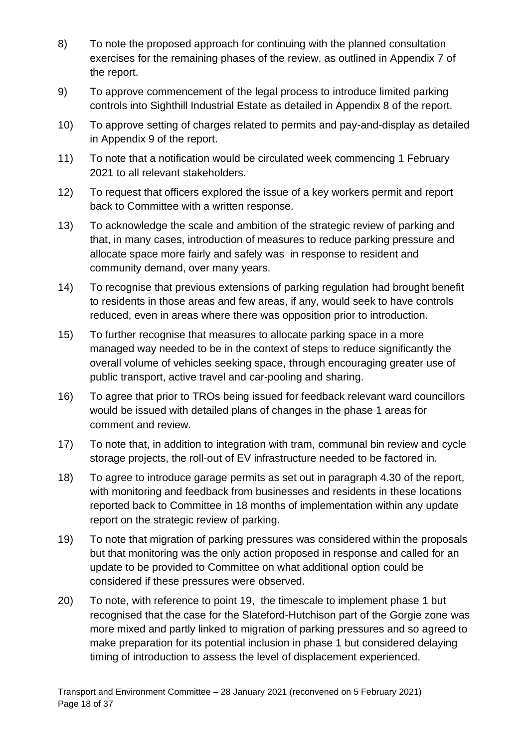- 8) To note the proposed approach for continuing with the planned consultation exercises for the remaining phases of the review, as outlined in Appendix 7 of the report.
- 9) To approve commencement of the legal process to introduce limited parking controls into Sighthill Industrial Estate as detailed in Appendix 8 of the report.
- 10) To approve setting of charges related to permits and pay-and-display as detailed in Appendix 9 of the report.
- 11) To note that a notification would be circulated week commencing 1 February 2021 to all relevant stakeholders.
- 12) To request that officers explored the issue of a key workers permit and report back to Committee with a written response.
- 13) To acknowledge the scale and ambition of the strategic review of parking and that, in many cases, introduction of measures to reduce parking pressure and allocate space more fairly and safely was in response to resident and community demand, over many years.
- 14) To recognise that previous extensions of parking regulation had brought benefit to residents in those areas and few areas, if any, would seek to have controls reduced, even in areas where there was opposition prior to introduction.
- 15) To further recognise that measures to allocate parking space in a more managed way needed to be in the context of steps to reduce significantly the overall volume of vehicles seeking space, through encouraging greater use of public transport, active travel and car-pooling and sharing.
- 16) To agree that prior to TROs being issued for feedback relevant ward councillors would be issued with detailed plans of changes in the phase 1 areas for comment and review.
- 17) To note that, in addition to integration with tram, communal bin review and cycle storage projects, the roll-out of EV infrastructure needed to be factored in.
- 18) To agree to introduce garage permits as set out in paragraph 4.30 of the report, with monitoring and feedback from businesses and residents in these locations reported back to Committee in 18 months of implementation within any update report on the strategic review of parking.
- 19) To note that migration of parking pressures was considered within the proposals but that monitoring was the only action proposed in response and called for an update to be provided to Committee on what additional option could be considered if these pressures were observed.
- 20) To note, with reference to point 19, the timescale to implement phase 1 but recognised that the case for the Slateford-Hutchison part of the Gorgie zone was more mixed and partly linked to migration of parking pressures and so agreed to make preparation for its potential inclusion in phase 1 but considered delaying timing of introduction to assess the level of displacement experienced.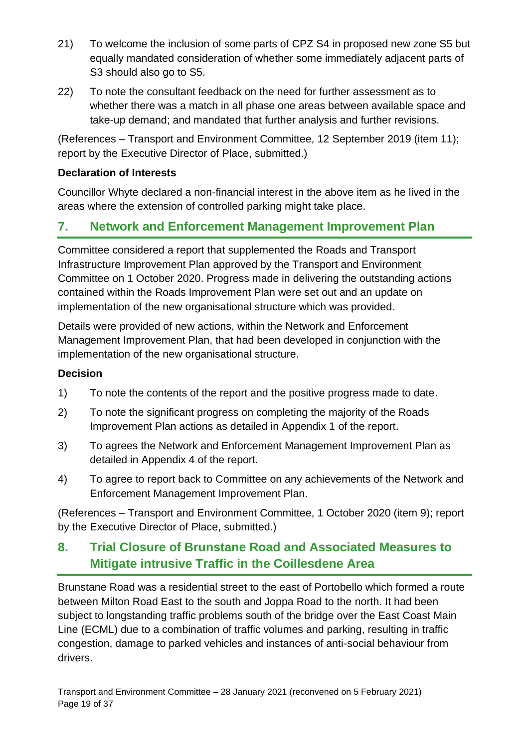- 21) To welcome the inclusion of some parts of CPZ S4 in proposed new zone S5 but equally mandated consideration of whether some immediately adjacent parts of S3 should also go to S5.
- 22) To note the consultant feedback on the need for further assessment as to whether there was a match in all phase one areas between available space and take-up demand; and mandated that further analysis and further revisions.

(References – Transport and Environment Committee, 12 September 2019 (item 11); report by the Executive Director of Place, submitted.)

### **Declaration of Interests**

Councillor Whyte declared a non-financial interest in the above item as he lived in the areas where the extension of controlled parking might take place.

# **7. Network and Enforcement Management Improvement Plan**

Committee considered a report that supplemented the Roads and Transport Infrastructure Improvement Plan approved by the Transport and Environment Committee on 1 October 2020. Progress made in delivering the outstanding actions contained within the Roads Improvement Plan were set out and an update on implementation of the new organisational structure which was provided.

Details were provided of new actions, within the Network and Enforcement Management Improvement Plan, that had been developed in conjunction with the implementation of the new organisational structure.

#### **Decision**

- 1) To note the contents of the report and the positive progress made to date.
- 2) To note the significant progress on completing the majority of the Roads Improvement Plan actions as detailed in Appendix 1 of the report.
- 3) To agrees the Network and Enforcement Management Improvement Plan as detailed in Appendix 4 of the report.
- 4) To agree to report back to Committee on any achievements of the Network and Enforcement Management Improvement Plan.

(References – Transport and Environment Committee, 1 October 2020 (item 9); report by the Executive Director of Place, submitted.)

# **8. Trial Closure of Brunstane Road and Associated Measures to Mitigate intrusive Traffic in the Coillesdene Area**

Brunstane Road was a residential street to the east of Portobello which formed a route between Milton Road East to the south and Joppa Road to the north. It had been subject to longstanding traffic problems south of the bridge over the East Coast Main Line (ECML) due to a combination of traffic volumes and parking, resulting in traffic congestion, damage to parked vehicles and instances of anti-social behaviour from drivers.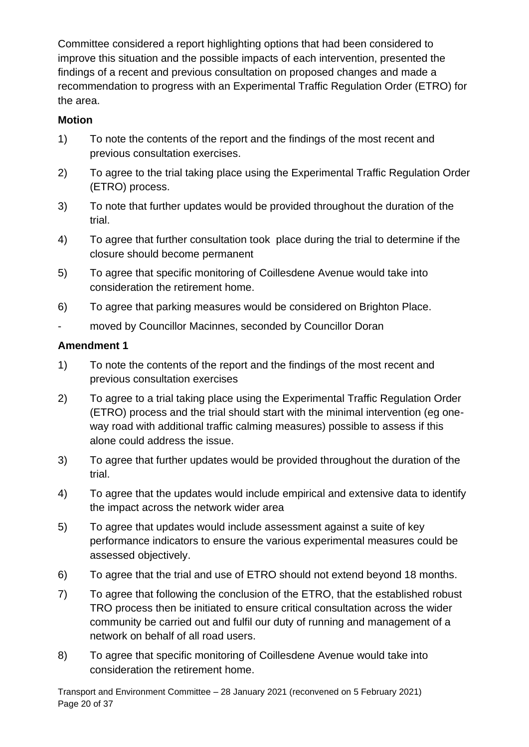Committee considered a report highlighting options that had been considered to improve this situation and the possible impacts of each intervention, presented the findings of a recent and previous consultation on proposed changes and made a recommendation to progress with an Experimental Traffic Regulation Order (ETRO) for the area.

# **Motion**

- 1) To note the contents of the report and the findings of the most recent and previous consultation exercises.
- 2) To agree to the trial taking place using the Experimental Traffic Regulation Order (ETRO) process.
- 3) To note that further updates would be provided throughout the duration of the trial.
- 4) To agree that further consultation took place during the trial to determine if the closure should become permanent
- 5) To agree that specific monitoring of Coillesdene Avenue would take into consideration the retirement home.
- 6) To agree that parking measures would be considered on Brighton Place.
- moved by Councillor Macinnes, seconded by Councillor Doran

- 1) To note the contents of the report and the findings of the most recent and previous consultation exercises
- 2) To agree to a trial taking place using the Experimental Traffic Regulation Order (ETRO) process and the trial should start with the minimal intervention (eg oneway road with additional traffic calming measures) possible to assess if this alone could address the issue.
- 3) To agree that further updates would be provided throughout the duration of the trial.
- 4) To agree that the updates would include empirical and extensive data to identify the impact across the network wider area
- 5) To agree that updates would include assessment against a suite of key performance indicators to ensure the various experimental measures could be assessed objectively.
- 6) To agree that the trial and use of ETRO should not extend beyond 18 months.
- 7) To agree that following the conclusion of the ETRO, that the established robust TRO process then be initiated to ensure critical consultation across the wider community be carried out and fulfil our duty of running and management of a network on behalf of all road users.
- 8) To agree that specific monitoring of Coillesdene Avenue would take into consideration the retirement home.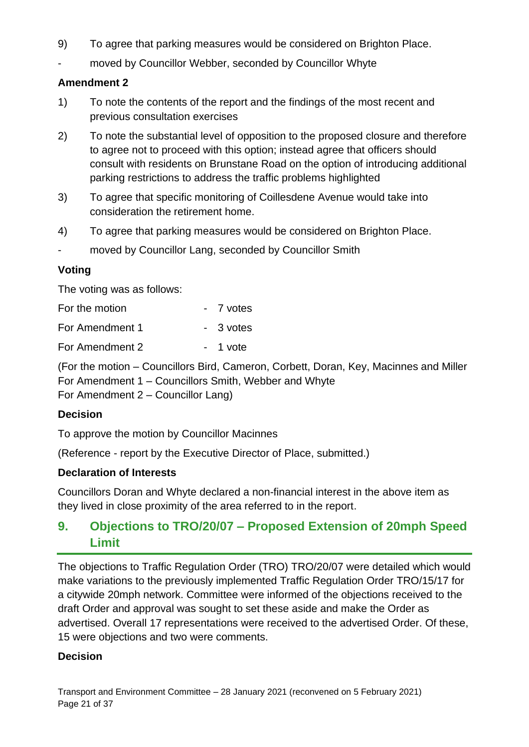- 9) To agree that parking measures would be considered on Brighton Place.
- moved by Councillor Webber, seconded by Councillor Whyte

#### **Amendment 2**

- 1) To note the contents of the report and the findings of the most recent and previous consultation exercises
- 2) To note the substantial level of opposition to the proposed closure and therefore to agree not to proceed with this option; instead agree that officers should consult with residents on Brunstane Road on the option of introducing additional parking restrictions to address the traffic problems highlighted
- 3) To agree that specific monitoring of Coillesdene Avenue would take into consideration the retirement home.
- 4) To agree that parking measures would be considered on Brighton Place.
- moved by Councillor Lang, seconded by Councillor Smith

#### **Voting**

The voting was as follows:

| For the motion  | - 7 votes |
|-----------------|-----------|
| For Amendment 1 | - 3 votes |
| For Amendment 2 | - 1 vote  |

(For the motion – Councillors Bird, Cameron, Corbett, Doran, Key, Macinnes and Miller For Amendment 1 – Councillors Smith, Webber and Whyte

For Amendment 2 – Councillor Lang)

#### **Decision**

To approve the motion by Councillor Macinnes

(Reference - report by the Executive Director of Place, submitted.)

#### **Declaration of Interests**

Councillors Doran and Whyte declared a non-financial interest in the above item as they lived in close proximity of the area referred to in the report.

# **9. Objections to TRO/20/07 – Proposed Extension of 20mph Speed Limit**

The objections to Traffic Regulation Order (TRO) TRO/20/07 were detailed which would make variations to the previously implemented Traffic Regulation Order TRO/15/17 for a citywide 20mph network. Committee were informed of the objections received to the draft Order and approval was sought to set these aside and make the Order as advertised. Overall 17 representations were received to the advertised Order. Of these, 15 were objections and two were comments.

#### **Decision**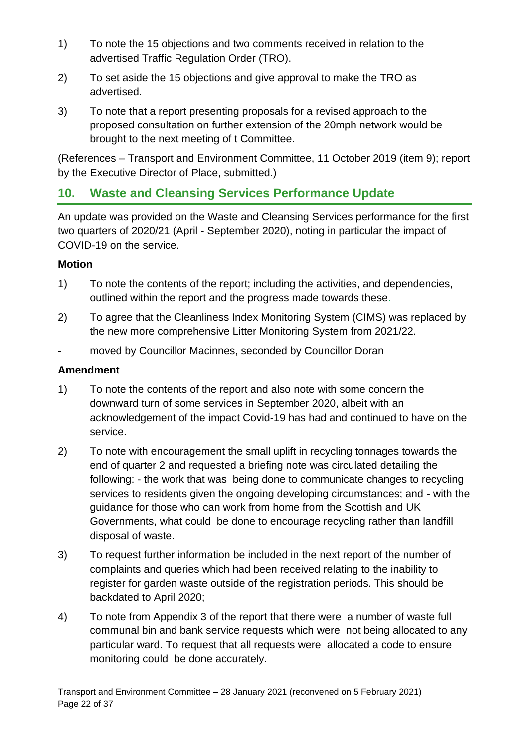- 1) To note the 15 objections and two comments received in relation to the advertised Traffic Regulation Order (TRO).
- 2) To set aside the 15 objections and give approval to make the TRO as advertised.
- 3) To note that a report presenting proposals for a revised approach to the proposed consultation on further extension of the 20mph network would be brought to the next meeting of t Committee.

(References – Transport and Environment Committee, 11 October 2019 (item 9); report by the Executive Director of Place, submitted.)

# **10. Waste and Cleansing Services Performance Update**

An update was provided on the Waste and Cleansing Services performance for the first two quarters of 2020/21 (April - September 2020), noting in particular the impact of COVID-19 on the service.

#### **Motion**

- 1) To note the contents of the report; including the activities, and dependencies, outlined within the report and the progress made towards these.
- 2) To agree that the Cleanliness Index Monitoring System (CIMS) was replaced by the new more comprehensive Litter Monitoring System from 2021/22.
- moved by Councillor Macinnes, seconded by Councillor Doran

- 1) To note the contents of the report and also note with some concern the downward turn of some services in September 2020, albeit with an acknowledgement of the impact Covid-19 has had and continued to have on the service.
- 2) To note with encouragement the small uplift in recycling tonnages towards the end of quarter 2 and requested a briefing note was circulated detailing the following: - the work that was being done to communicate changes to recycling services to residents given the ongoing developing circumstances; and - with the guidance for those who can work from home from the Scottish and UK Governments, what could be done to encourage recycling rather than landfill disposal of waste.
- 3) To request further information be included in the next report of the number of complaints and queries which had been received relating to the inability to register for garden waste outside of the registration periods. This should be backdated to April 2020;
- 4) To note from Appendix 3 of the report that there were a number of waste full communal bin and bank service requests which were not being allocated to any particular ward. To request that all requests were allocated a code to ensure monitoring could be done accurately.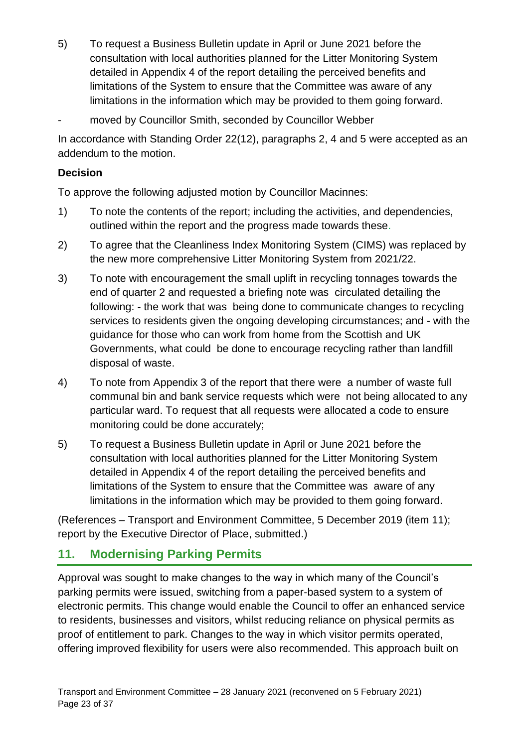- 5) To request a Business Bulletin update in April or June 2021 before the consultation with local authorities planned for the Litter Monitoring System detailed in Appendix 4 of the report detailing the perceived benefits and limitations of the System to ensure that the Committee was aware of any limitations in the information which may be provided to them going forward.
- moved by Councillor Smith, seconded by Councillor Webber

In accordance with Standing Order 22(12), paragraphs 2, 4 and 5 were accepted as an addendum to the motion.

#### **Decision**

To approve the following adjusted motion by Councillor Macinnes:

- 1) To note the contents of the report; including the activities, and dependencies, outlined within the report and the progress made towards these.
- 2) To agree that the Cleanliness Index Monitoring System (CIMS) was replaced by the new more comprehensive Litter Monitoring System from 2021/22.
- 3) To note with encouragement the small uplift in recycling tonnages towards the end of quarter 2 and requested a briefing note was circulated detailing the following: - the work that was being done to communicate changes to recycling services to residents given the ongoing developing circumstances; and - with the guidance for those who can work from home from the Scottish and UK Governments, what could be done to encourage recycling rather than landfill disposal of waste.
- 4) To note from Appendix 3 of the report that there were a number of waste full communal bin and bank service requests which were not being allocated to any particular ward. To request that all requests were allocated a code to ensure monitoring could be done accurately;
- 5) To request a Business Bulletin update in April or June 2021 before the consultation with local authorities planned for the Litter Monitoring System detailed in Appendix 4 of the report detailing the perceived benefits and limitations of the System to ensure that the Committee was aware of any limitations in the information which may be provided to them going forward.

(References – Transport and Environment Committee, 5 December 2019 (item 11); report by the Executive Director of Place, submitted.)

# **11. Modernising Parking Permits**

Approval was sought to make changes to the way in which many of the Council's parking permits were issued, switching from a paper-based system to a system of electronic permits. This change would enable the Council to offer an enhanced service to residents, businesses and visitors, whilst reducing reliance on physical permits as proof of entitlement to park. Changes to the way in which visitor permits operated, offering improved flexibility for users were also recommended. This approach built on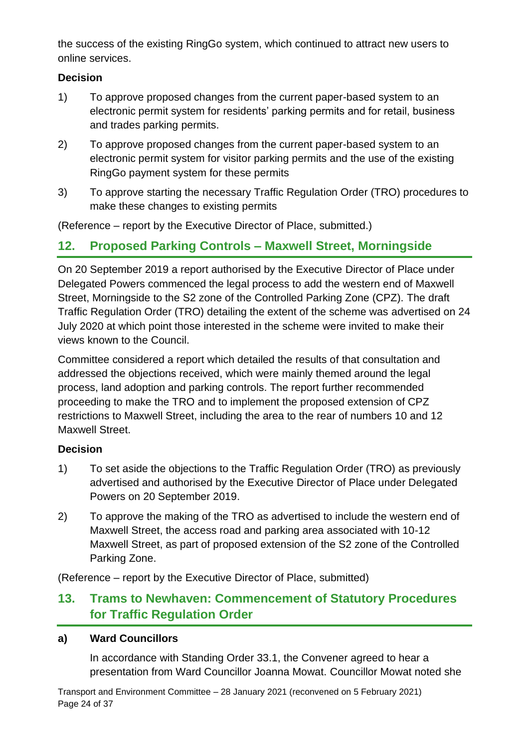the success of the existing RingGo system, which continued to attract new users to online services.

### **Decision**

- 1) To approve proposed changes from the current paper-based system to an electronic permit system for residents' parking permits and for retail, business and trades parking permits.
- 2) To approve proposed changes from the current paper-based system to an electronic permit system for visitor parking permits and the use of the existing RingGo payment system for these permits
- 3) To approve starting the necessary Traffic Regulation Order (TRO) procedures to make these changes to existing permits

(Reference – report by the Executive Director of Place, submitted.)

# **12. Proposed Parking Controls – Maxwell Street, Morningside**

On 20 September 2019 a report authorised by the Executive Director of Place under Delegated Powers commenced the legal process to add the western end of Maxwell Street, Morningside to the S2 zone of the Controlled Parking Zone (CPZ). The draft Traffic Regulation Order (TRO) detailing the extent of the scheme was advertised on 24 July 2020 at which point those interested in the scheme were invited to make their views known to the Council.

Committee considered a report which detailed the results of that consultation and addressed the objections received, which were mainly themed around the legal process, land adoption and parking controls. The report further recommended proceeding to make the TRO and to implement the proposed extension of CPZ restrictions to Maxwell Street, including the area to the rear of numbers 10 and 12 Maxwell Street.

## **Decision**

- 1) To set aside the objections to the Traffic Regulation Order (TRO) as previously advertised and authorised by the Executive Director of Place under Delegated Powers on 20 September 2019.
- 2) To approve the making of the TRO as advertised to include the western end of Maxwell Street, the access road and parking area associated with 10-12 Maxwell Street, as part of proposed extension of the S2 zone of the Controlled Parking Zone.

(Reference – report by the Executive Director of Place, submitted)

# **13. Trams to Newhaven: Commencement of Statutory Procedures for Traffic Regulation Order**

#### **a) Ward Councillors**

In accordance with Standing Order 33.1, the Convener agreed to hear a presentation from Ward Councillor Joanna Mowat. Councillor Mowat noted she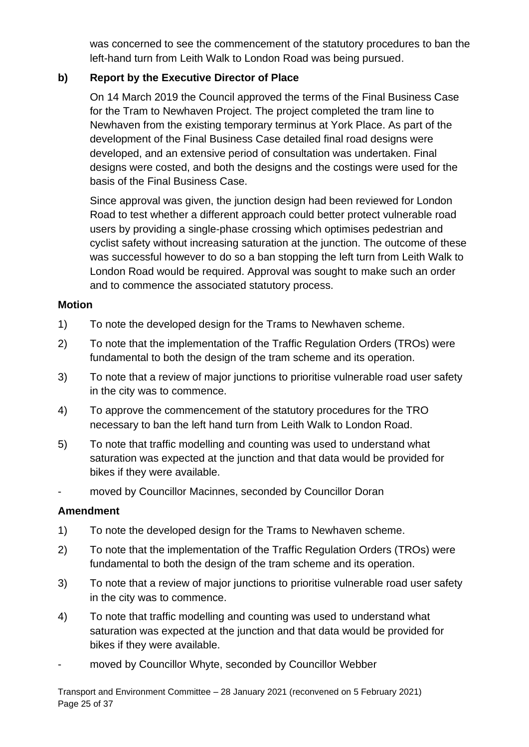was concerned to see the commencement of the statutory procedures to ban the left-hand turn from Leith Walk to London Road was being pursued.

### **b) Report by the Executive Director of Place**

On 14 March 2019 the Council approved the terms of the Final Business Case for the Tram to Newhaven Project. The project completed the tram line to Newhaven from the existing temporary terminus at York Place. As part of the development of the Final Business Case detailed final road designs were developed, and an extensive period of consultation was undertaken. Final designs were costed, and both the designs and the costings were used for the basis of the Final Business Case.

Since approval was given, the junction design had been reviewed for London Road to test whether a different approach could better protect vulnerable road users by providing a single-phase crossing which optimises pedestrian and cyclist safety without increasing saturation at the junction. The outcome of these was successful however to do so a ban stopping the left turn from Leith Walk to London Road would be required. Approval was sought to make such an order and to commence the associated statutory process.

#### **Motion**

- 1) To note the developed design for the Trams to Newhaven scheme.
- 2) To note that the implementation of the Traffic Regulation Orders (TROs) were fundamental to both the design of the tram scheme and its operation.
- 3) To note that a review of major junctions to prioritise vulnerable road user safety in the city was to commence.
- 4) To approve the commencement of the statutory procedures for the TRO necessary to ban the left hand turn from Leith Walk to London Road.
- 5) To note that traffic modelling and counting was used to understand what saturation was expected at the junction and that data would be provided for bikes if they were available.
- moved by Councillor Macinnes, seconded by Councillor Doran

- 1) To note the developed design for the Trams to Newhaven scheme.
- 2) To note that the implementation of the Traffic Regulation Orders (TROs) were fundamental to both the design of the tram scheme and its operation.
- 3) To note that a review of major junctions to prioritise vulnerable road user safety in the city was to commence.
- 4) To note that traffic modelling and counting was used to understand what saturation was expected at the junction and that data would be provided for bikes if they were available.
- moved by Councillor Whyte, seconded by Councillor Webber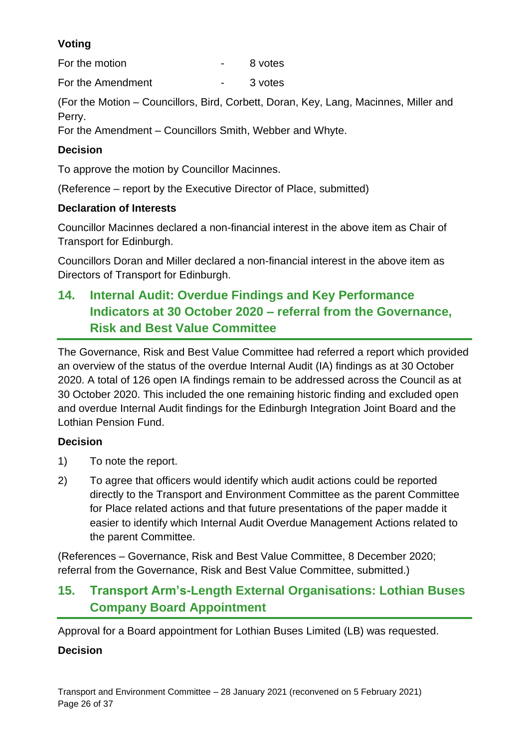# **Voting**

For the motion Theorem **For the motion** 

For the Amendment Theory Contract Contract Contract 3 votes

(For the Motion – Councillors, Bird, Corbett, Doran, Key, Lang, Macinnes, Miller and Perry.

For the Amendment – Councillors Smith, Webber and Whyte.

# **Decision**

To approve the motion by Councillor Macinnes.

(Reference – report by the Executive Director of Place, submitted)

# **Declaration of Interests**

Councillor Macinnes declared a non-financial interest in the above item as Chair of Transport for Edinburgh.

Councillors Doran and Miller declared a non-financial interest in the above item as Directors of Transport for Edinburgh.

# **14. Internal Audit: Overdue Findings and Key Performance Indicators at 30 October 2020 – referral from the Governance, Risk and Best Value Committee**

The Governance, Risk and Best Value Committee had referred a report which provided an overview of the status of the overdue Internal Audit (IA) findings as at 30 October 2020. A total of 126 open IA findings remain to be addressed across the Council as at 30 October 2020. This included the one remaining historic finding and excluded open and overdue Internal Audit findings for the Edinburgh Integration Joint Board and the Lothian Pension Fund.

# **Decision**

- 1) To note the report.
- 2) To agree that officers would identify which audit actions could be reported directly to the Transport and Environment Committee as the parent Committee for Place related actions and that future presentations of the paper madde it easier to identify which Internal Audit Overdue Management Actions related to the parent Committee.

(References – Governance, Risk and Best Value Committee, 8 December 2020; referral from the Governance, Risk and Best Value Committee, submitted.)

# **15. Transport Arm's-Length External Organisations: Lothian Buses Company Board Appointment**

Approval for a Board appointment for Lothian Buses Limited (LB) was requested.

# **Decision**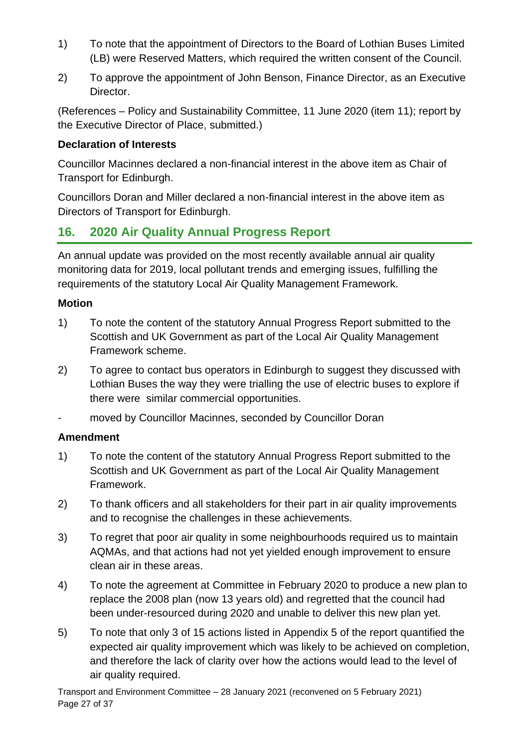- 1) To note that the appointment of Directors to the Board of Lothian Buses Limited (LB) were Reserved Matters, which required the written consent of the Council.
- 2) To approve the appointment of John Benson, Finance Director, as an Executive Director.

(References – Policy and Sustainability Committee, 11 June 2020 (item 11); report by the Executive Director of Place, submitted.)

#### **Declaration of Interests**

Councillor Macinnes declared a non-financial interest in the above item as Chair of Transport for Edinburgh.

Councillors Doran and Miller declared a non-financial interest in the above item as Directors of Transport for Edinburgh.

# **16. 2020 Air Quality Annual Progress Report**

An annual update was provided on the most recently available annual air quality monitoring data for 2019, local pollutant trends and emerging issues, fulfilling the requirements of the statutory Local Air Quality Management Framework.

#### **Motion**

- 1) To note the content of the statutory Annual Progress Report submitted to the Scottish and UK Government as part of the Local Air Quality Management Framework scheme.
- 2) To agree to contact bus operators in Edinburgh to suggest they discussed with Lothian Buses the way they were trialling the use of electric buses to explore if there were similar commercial opportunities.
- moved by Councillor Macinnes, seconded by Councillor Doran

- 1) To note the content of the statutory Annual Progress Report submitted to the Scottish and UK Government as part of the Local Air Quality Management Framework.
- 2) To thank officers and all stakeholders for their part in air quality improvements and to recognise the challenges in these achievements.
- 3) To regret that poor air quality in some neighbourhoods required us to maintain AQMAs, and that actions had not yet yielded enough improvement to ensure clean air in these areas.
- 4) To note the agreement at Committee in February 2020 to produce a new plan to replace the 2008 plan (now 13 years old) and regretted that the council had been under-resourced during 2020 and unable to deliver this new plan yet.
- 5) To note that only 3 of 15 actions listed in Appendix 5 of the report quantified the expected air quality improvement which was likely to be achieved on completion, and therefore the lack of clarity over how the actions would lead to the level of air quality required.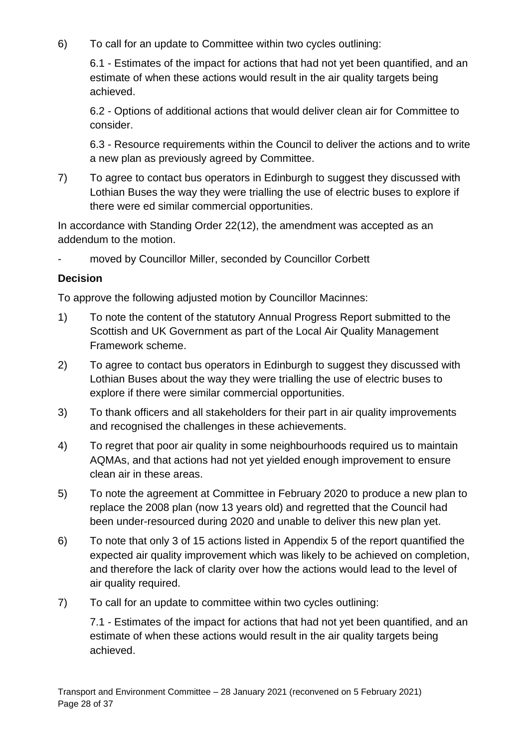6) To call for an update to Committee within two cycles outlining:

6.1 - Estimates of the impact for actions that had not yet been quantified, and an estimate of when these actions would result in the air quality targets being achieved.

6.2 - Options of additional actions that would deliver clean air for Committee to consider.

6.3 - Resource requirements within the Council to deliver the actions and to write a new plan as previously agreed by Committee.

7) To agree to contact bus operators in Edinburgh to suggest they discussed with Lothian Buses the way they were trialling the use of electric buses to explore if there were ed similar commercial opportunities.

In accordance with Standing Order 22(12), the amendment was accepted as an addendum to the motion.

moved by Councillor Miller, seconded by Councillor Corbett

#### **Decision**

To approve the following adjusted motion by Councillor Macinnes:

- 1) To note the content of the statutory Annual Progress Report submitted to the Scottish and UK Government as part of the Local Air Quality Management Framework scheme.
- 2) To agree to contact bus operators in Edinburgh to suggest they discussed with Lothian Buses about the way they were trialling the use of electric buses to explore if there were similar commercial opportunities.
- 3) To thank officers and all stakeholders for their part in air quality improvements and recognised the challenges in these achievements.
- 4) To regret that poor air quality in some neighbourhoods required us to maintain AQMAs, and that actions had not yet yielded enough improvement to ensure clean air in these areas.
- 5) To note the agreement at Committee in February 2020 to produce a new plan to replace the 2008 plan (now 13 years old) and regretted that the Council had been under-resourced during 2020 and unable to deliver this new plan yet.
- 6) To note that only 3 of 15 actions listed in Appendix 5 of the report quantified the expected air quality improvement which was likely to be achieved on completion, and therefore the lack of clarity over how the actions would lead to the level of air quality required.
- 7) To call for an update to committee within two cycles outlining:

7.1 - Estimates of the impact for actions that had not yet been quantified, and an estimate of when these actions would result in the air quality targets being achieved.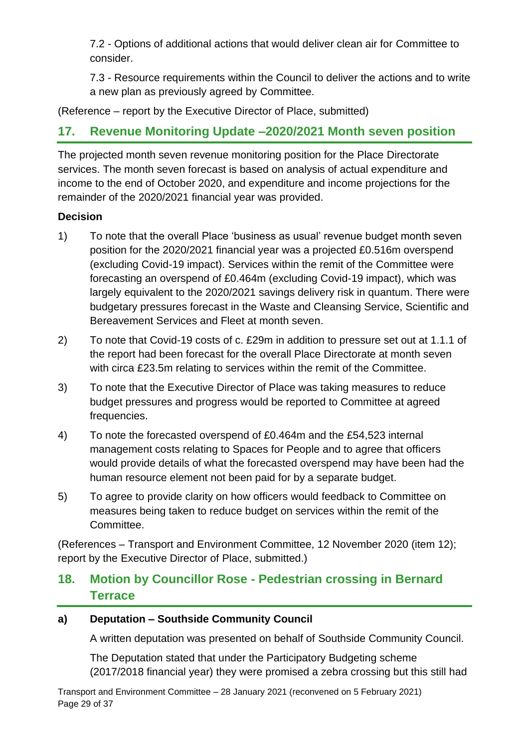7.2 - Options of additional actions that would deliver clean air for Committee to consider.

7.3 - Resource requirements within the Council to deliver the actions and to write a new plan as previously agreed by Committee.

(Reference – report by the Executive Director of Place, submitted)

# **17. Revenue Monitoring Update –2020/2021 Month seven position**

The projected month seven revenue monitoring position for the Place Directorate services. The month seven forecast is based on analysis of actual expenditure and income to the end of October 2020, and expenditure and income projections for the remainder of the 2020/2021 financial year was provided.

## **Decision**

- 1) To note that the overall Place 'business as usual' revenue budget month seven position for the 2020/2021 financial year was a projected £0.516m overspend (excluding Covid-19 impact). Services within the remit of the Committee were forecasting an overspend of £0.464m (excluding Covid-19 impact), which was largely equivalent to the 2020/2021 savings delivery risk in quantum. There were budgetary pressures forecast in the Waste and Cleansing Service, Scientific and Bereavement Services and Fleet at month seven.
- 2) To note that Covid-19 costs of c. £29m in addition to pressure set out at 1.1.1 of the report had been forecast for the overall Place Directorate at month seven with circa £23.5m relating to services within the remit of the Committee.
- 3) To note that the Executive Director of Place was taking measures to reduce budget pressures and progress would be reported to Committee at agreed frequencies.
- 4) To note the forecasted overspend of £0.464m and the £54,523 internal management costs relating to Spaces for People and to agree that officers would provide details of what the forecasted overspend may have been had the human resource element not been paid for by a separate budget.
- 5) To agree to provide clarity on how officers would feedback to Committee on measures being taken to reduce budget on services within the remit of the Committee.

(References – Transport and Environment Committee, 12 November 2020 (item 12); report by the Executive Director of Place, submitted.)

# **18. Motion by Councillor Rose - Pedestrian crossing in Bernard Terrace**

## **a) Deputation – Southside Community Council**

A written deputation was presented on behalf of Southside Community Council.

The Deputation stated that under the Participatory Budgeting scheme (2017/2018 financial year) they were promised a zebra crossing but this still had

Transport and Environment Committee – 28 January 2021 (reconvened on 5 February 2021) Page 29 of 37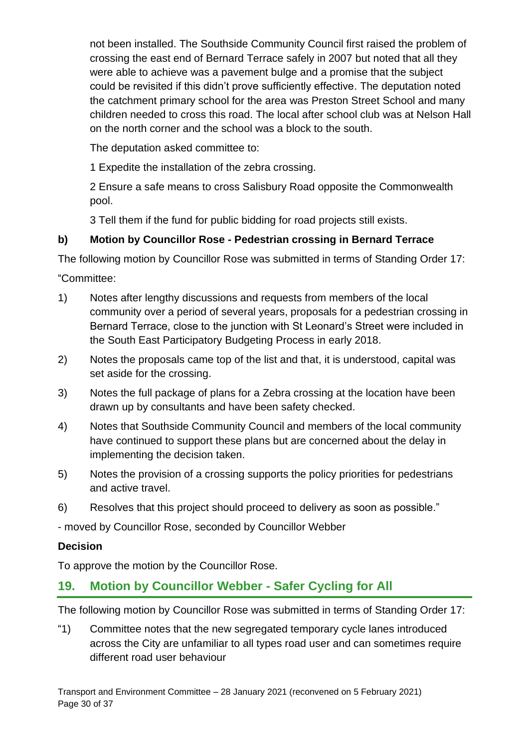not been installed. The Southside Community Council first raised the problem of crossing the east end of Bernard Terrace safely in 2007 but noted that all they were able to achieve was a pavement bulge and a promise that the subject could be revisited if this didn't prove sufficiently effective. The deputation noted the catchment primary school for the area was Preston Street School and many children needed to cross this road. The local after school club was at Nelson Hall on the north corner and the school was a block to the south.

The deputation asked committee to:

1 Expedite the installation of the zebra crossing.

2 Ensure a safe means to cross Salisbury Road opposite the Commonwealth pool.

3 Tell them if the fund for public bidding for road projects still exists.

## **b) Motion by Councillor Rose - Pedestrian crossing in Bernard Terrace**

The following motion by Councillor Rose was submitted in terms of Standing Order 17:

"Committee:

- 1) Notes after lengthy discussions and requests from members of the local community over a period of several years, proposals for a pedestrian crossing in Bernard Terrace, close to the junction with St Leonard's Street were included in the South East Participatory Budgeting Process in early 2018.
- 2) Notes the proposals came top of the list and that, it is understood, capital was set aside for the crossing.
- 3) Notes the full package of plans for a Zebra crossing at the location have been drawn up by consultants and have been safety checked.
- 4) Notes that Southside Community Council and members of the local community have continued to support these plans but are concerned about the delay in implementing the decision taken.
- 5) Notes the provision of a crossing supports the policy priorities for pedestrians and active travel.
- 6) Resolves that this project should proceed to delivery as soon as possible."

- moved by Councillor Rose, seconded by Councillor Webber

## **Decision**

To approve the motion by the Councillor Rose.

# **19. Motion by Councillor Webber - Safer Cycling for All**

The following motion by Councillor Rose was submitted in terms of Standing Order 17:

"1) Committee notes that the new segregated temporary cycle lanes introduced across the City are unfamiliar to all types road user and can sometimes require different road user behaviour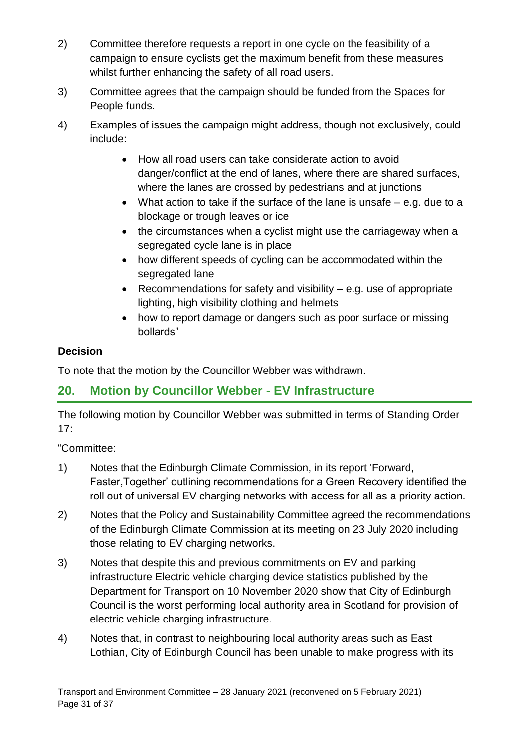- 2) Committee therefore requests a report in one cycle on the feasibility of a campaign to ensure cyclists get the maximum benefit from these measures whilst further enhancing the safety of all road users.
- 3) Committee agrees that the campaign should be funded from the Spaces for People funds.
- 4) Examples of issues the campaign might address, though not exclusively, could include:
	- How all road users can take considerate action to avoid danger/conflict at the end of lanes, where there are shared surfaces, where the lanes are crossed by pedestrians and at junctions
	- What action to take if the surface of the lane is unsafe  $-$  e.g. due to a blockage or trough leaves or ice
	- the circumstances when a cyclist might use the carriageway when a segregated cycle lane is in place
	- how different speeds of cycling can be accommodated within the segregated lane
	- Recommendations for safety and visibility e.g. use of appropriate lighting, high visibility clothing and helmets
	- how to report damage or dangers such as poor surface or missing bollards"

# **Decision**

To note that the motion by the Councillor Webber was withdrawn.

# **20. Motion by Councillor Webber - EV Infrastructure**

The following motion by Councillor Webber was submitted in terms of Standing Order 17:

"Committee:

- 1) Notes that the Edinburgh Climate Commission, in its report 'Forward, Faster,Together' outlining recommendations for a Green Recovery identified the roll out of universal EV charging networks with access for all as a priority action.
- 2) Notes that the Policy and Sustainability Committee agreed the recommendations of the Edinburgh Climate Commission at its meeting on 23 July 2020 including those relating to EV charging networks.
- 3) Notes that despite this and previous commitments on EV and parking infrastructure Electric vehicle charging device statistics published by the Department for Transport on 10 November 2020 show that City of Edinburgh Council is the worst performing local authority area in Scotland for provision of electric vehicle charging infrastructure.
- 4) Notes that, in contrast to neighbouring local authority areas such as East Lothian, City of Edinburgh Council has been unable to make progress with its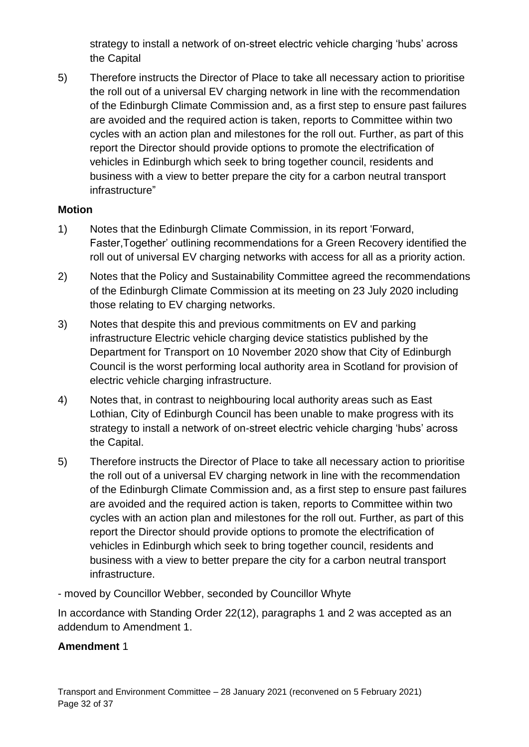strategy to install a network of on-street electric vehicle charging 'hubs' across the Capital

5) Therefore instructs the Director of Place to take all necessary action to prioritise the roll out of a universal EV charging network in line with the recommendation of the Edinburgh Climate Commission and, as a first step to ensure past failures are avoided and the required action is taken, reports to Committee within two cycles with an action plan and milestones for the roll out. Further, as part of this report the Director should provide options to promote the electrification of vehicles in Edinburgh which seek to bring together council, residents and business with a view to better prepare the city for a carbon neutral transport infrastructure"

#### **Motion**

- 1) Notes that the Edinburgh Climate Commission, in its report 'Forward, Faster,Together' outlining recommendations for a Green Recovery identified the roll out of universal EV charging networks with access for all as a priority action.
- 2) Notes that the Policy and Sustainability Committee agreed the recommendations of the Edinburgh Climate Commission at its meeting on 23 July 2020 including those relating to EV charging networks.
- 3) Notes that despite this and previous commitments on EV and parking infrastructure Electric vehicle charging device statistics published by the Department for Transport on 10 November 2020 show that City of Edinburgh Council is the worst performing local authority area in Scotland for provision of electric vehicle charging infrastructure.
- 4) Notes that, in contrast to neighbouring local authority areas such as East Lothian, City of Edinburgh Council has been unable to make progress with its strategy to install a network of on-street electric vehicle charging 'hubs' across the Capital.
- 5) Therefore instructs the Director of Place to take all necessary action to prioritise the roll out of a universal EV charging network in line with the recommendation of the Edinburgh Climate Commission and, as a first step to ensure past failures are avoided and the required action is taken, reports to Committee within two cycles with an action plan and milestones for the roll out. Further, as part of this report the Director should provide options to promote the electrification of vehicles in Edinburgh which seek to bring together council, residents and business with a view to better prepare the city for a carbon neutral transport infrastructure.
- moved by Councillor Webber, seconded by Councillor Whyte

In accordance with Standing Order 22(12), paragraphs 1 and 2 was accepted as an addendum to Amendment 1.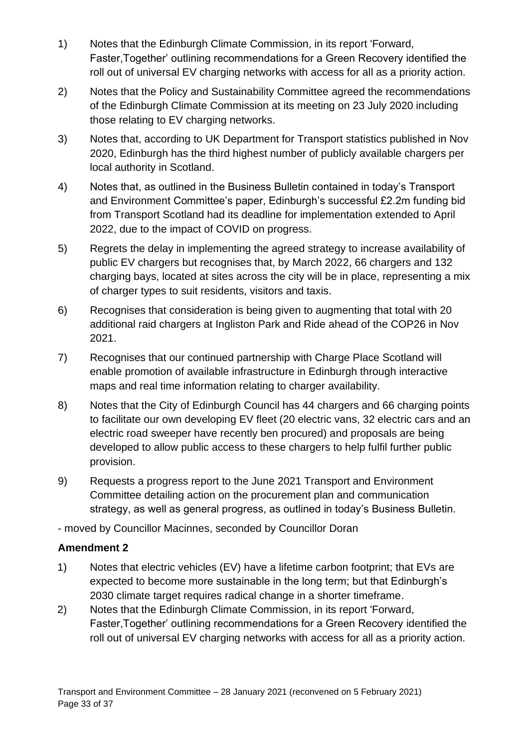- 1) Notes that the Edinburgh Climate Commission, in its report 'Forward, Faster,Together' outlining recommendations for a Green Recovery identified the roll out of universal EV charging networks with access for all as a priority action.
- 2) Notes that the Policy and Sustainability Committee agreed the recommendations of the Edinburgh Climate Commission at its meeting on 23 July 2020 including those relating to EV charging networks.
- 3) Notes that, according to UK Department for Transport statistics published in Nov 2020, Edinburgh has the third highest number of publicly available chargers per local authority in Scotland.
- 4) Notes that, as outlined in the Business Bulletin contained in today's Transport and Environment Committee's paper, Edinburgh's successful £2.2m funding bid from Transport Scotland had its deadline for implementation extended to April 2022, due to the impact of COVID on progress.
- 5) Regrets the delay in implementing the agreed strategy to increase availability of public EV chargers but recognises that, by March 2022, 66 chargers and 132 charging bays, located at sites across the city will be in place, representing a mix of charger types to suit residents, visitors and taxis.
- 6) Recognises that consideration is being given to augmenting that total with 20 additional raid chargers at Ingliston Park and Ride ahead of the COP26 in Nov 2021.
- 7) Recognises that our continued partnership with Charge Place Scotland will enable promotion of available infrastructure in Edinburgh through interactive maps and real time information relating to charger availability.
- 8) Notes that the City of Edinburgh Council has 44 chargers and 66 charging points to facilitate our own developing EV fleet (20 electric vans, 32 electric cars and an electric road sweeper have recently ben procured) and proposals are being developed to allow public access to these chargers to help fulfil further public provision.
- 9) Requests a progress report to the June 2021 Transport and Environment Committee detailing action on the procurement plan and communication strategy, as well as general progress, as outlined in today's Business Bulletin.

- moved by Councillor Macinnes, seconded by Councillor Doran

- 1) Notes that electric vehicles (EV) have a lifetime carbon footprint; that EVs are expected to become more sustainable in the long term; but that Edinburgh's 2030 climate target requires radical change in a shorter timeframe.
- 2) Notes that the Edinburgh Climate Commission, in its report 'Forward, Faster,Together' outlining recommendations for a Green Recovery identified the roll out of universal EV charging networks with access for all as a priority action.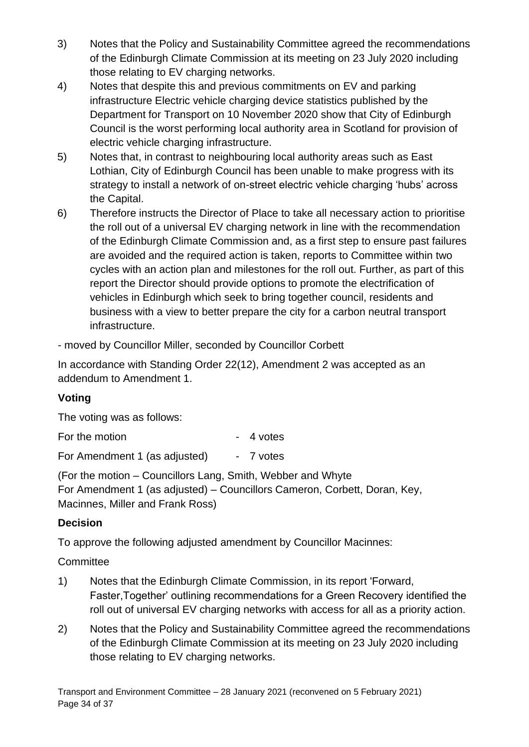- 3) Notes that the Policy and Sustainability Committee agreed the recommendations of the Edinburgh Climate Commission at its meeting on 23 July 2020 including those relating to EV charging networks.
- 4) Notes that despite this and previous commitments on EV and parking infrastructure Electric vehicle charging device statistics published by the Department for Transport on 10 November 2020 show that City of Edinburgh Council is the worst performing local authority area in Scotland for provision of electric vehicle charging infrastructure.
- 5) Notes that, in contrast to neighbouring local authority areas such as East Lothian, City of Edinburgh Council has been unable to make progress with its strategy to install a network of on-street electric vehicle charging 'hubs' across the Capital.
- 6) Therefore instructs the Director of Place to take all necessary action to prioritise the roll out of a universal EV charging network in line with the recommendation of the Edinburgh Climate Commission and, as a first step to ensure past failures are avoided and the required action is taken, reports to Committee within two cycles with an action plan and milestones for the roll out. Further, as part of this report the Director should provide options to promote the electrification of vehicles in Edinburgh which seek to bring together council, residents and business with a view to better prepare the city for a carbon neutral transport infrastructure.

- moved by Councillor Miller, seconded by Councillor Corbett

In accordance with Standing Order 22(12), Amendment 2 was accepted as an addendum to Amendment 1.

# **Voting**

The voting was as follows:

For the motion Theorem 1997 For the motion

For Amendment 1 (as adjusted) - 7 votes

(For the motion – Councillors Lang, Smith, Webber and Whyte For Amendment 1 (as adjusted) – Councillors Cameron, Corbett, Doran, Key, Macinnes, Miller and Frank Ross)

# **Decision**

To approve the following adjusted amendment by Councillor Macinnes:

## **Committee**

- 1) Notes that the Edinburgh Climate Commission, in its report 'Forward, Faster,Together' outlining recommendations for a Green Recovery identified the roll out of universal EV charging networks with access for all as a priority action.
- 2) Notes that the Policy and Sustainability Committee agreed the recommendations of the Edinburgh Climate Commission at its meeting on 23 July 2020 including those relating to EV charging networks.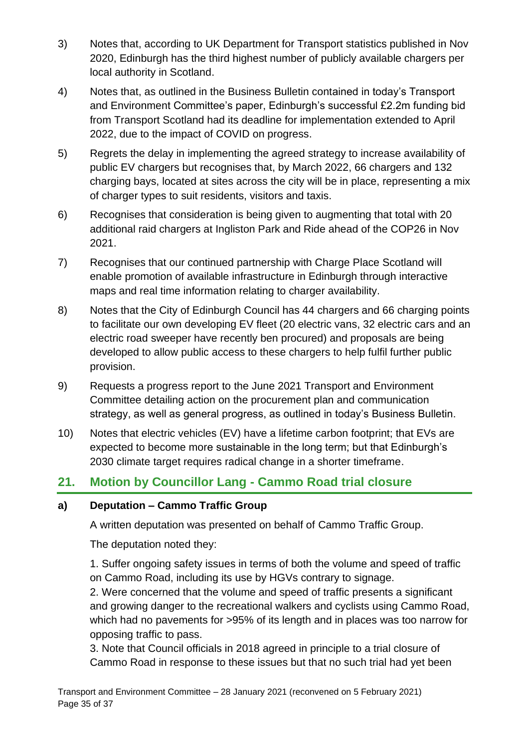- 3) Notes that, according to UK Department for Transport statistics published in Nov 2020, Edinburgh has the third highest number of publicly available chargers per local authority in Scotland.
- 4) Notes that, as outlined in the Business Bulletin contained in today's Transport and Environment Committee's paper, Edinburgh's successful £2.2m funding bid from Transport Scotland had its deadline for implementation extended to April 2022, due to the impact of COVID on progress.
- 5) Regrets the delay in implementing the agreed strategy to increase availability of public EV chargers but recognises that, by March 2022, 66 chargers and 132 charging bays, located at sites across the city will be in place, representing a mix of charger types to suit residents, visitors and taxis.
- 6) Recognises that consideration is being given to augmenting that total with 20 additional raid chargers at Ingliston Park and Ride ahead of the COP26 in Nov 2021.
- 7) Recognises that our continued partnership with Charge Place Scotland will enable promotion of available infrastructure in Edinburgh through interactive maps and real time information relating to charger availability.
- 8) Notes that the City of Edinburgh Council has 44 chargers and 66 charging points to facilitate our own developing EV fleet (20 electric vans, 32 electric cars and an electric road sweeper have recently ben procured) and proposals are being developed to allow public access to these chargers to help fulfil further public provision.
- 9) Requests a progress report to the June 2021 Transport and Environment Committee detailing action on the procurement plan and communication strategy, as well as general progress, as outlined in today's Business Bulletin.
- 10) Notes that electric vehicles (EV) have a lifetime carbon footprint; that EVs are expected to become more sustainable in the long term; but that Edinburgh's 2030 climate target requires radical change in a shorter timeframe.

# **21. Motion by Councillor Lang - Cammo Road trial closure**

## **a) Deputation – Cammo Traffic Group**

A written deputation was presented on behalf of Cammo Traffic Group.

The deputation noted they:

1. Suffer ongoing safety issues in terms of both the volume and speed of traffic on Cammo Road, including its use by HGVs contrary to signage.

2. Were concerned that the volume and speed of traffic presents a significant and growing danger to the recreational walkers and cyclists using Cammo Road, which had no pavements for >95% of its length and in places was too narrow for opposing traffic to pass.

3. Note that Council officials in 2018 agreed in principle to a trial closure of Cammo Road in response to these issues but that no such trial had yet been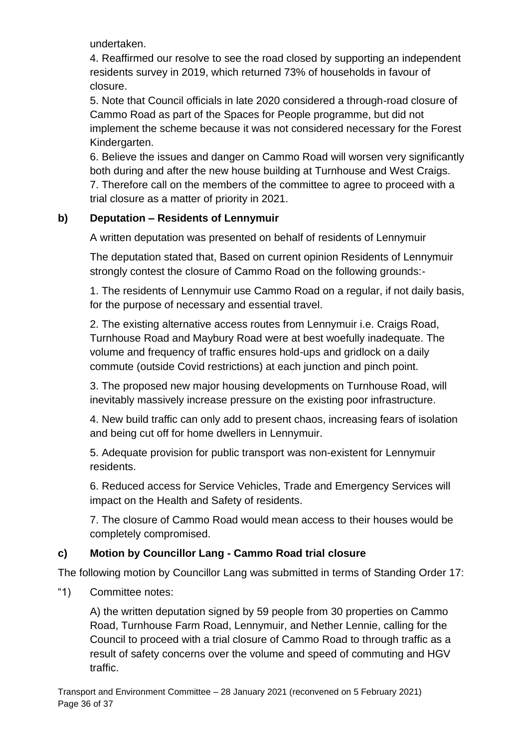undertaken.

4. Reaffirmed our resolve to see the road closed by supporting an independent residents survey in 2019, which returned 73% of households in favour of closure.

5. Note that Council officials in late 2020 considered a through-road closure of Cammo Road as part of the Spaces for People programme, but did not implement the scheme because it was not considered necessary for the Forest Kindergarten.

6. Believe the issues and danger on Cammo Road will worsen very significantly both during and after the new house building at Turnhouse and West Craigs. 7. Therefore call on the members of the committee to agree to proceed with a trial closure as a matter of priority in 2021.

# **b) Deputation – Residents of Lennymuir**

A written deputation was presented on behalf of residents of Lennymuir

The deputation stated that, Based on current opinion Residents of Lennymuir strongly contest the closure of Cammo Road on the following grounds:-

1. The residents of Lennymuir use Cammo Road on a regular, if not daily basis, for the purpose of necessary and essential travel.

2. The existing alternative access routes from Lennymuir i.e. Craigs Road, Turnhouse Road and Maybury Road were at best woefully inadequate. The volume and frequency of traffic ensures hold-ups and gridlock on a daily commute (outside Covid restrictions) at each junction and pinch point.

3. The proposed new major housing developments on Turnhouse Road, will inevitably massively increase pressure on the existing poor infrastructure.

4. New build traffic can only add to present chaos, increasing fears of isolation and being cut off for home dwellers in Lennymuir.

5. Adequate provision for public transport was non-existent for Lennymuir residents.

6. Reduced access for Service Vehicles, Trade and Emergency Services will impact on the Health and Safety of residents.

7. The closure of Cammo Road would mean access to their houses would be completely compromised.

# **c) Motion by Councillor Lang - Cammo Road trial closure**

The following motion by Councillor Lang was submitted in terms of Standing Order 17:

"1) Committee notes:

A) the written deputation signed by 59 people from 30 properties on Cammo Road, Turnhouse Farm Road, Lennymuir, and Nether Lennie, calling for the Council to proceed with a trial closure of Cammo Road to through traffic as a result of safety concerns over the volume and speed of commuting and HGV traffic.